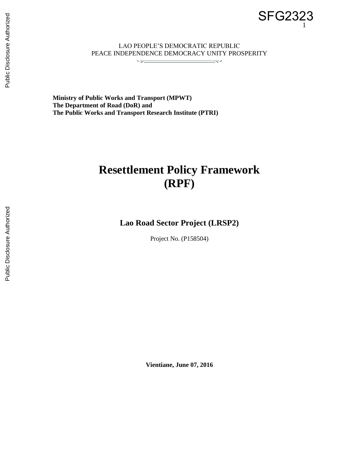LAO PEOPLE'S DEMOCRATIC REPUBLIC PEACE INDEPENDENCE DEMOCRACY UNITY PROSPERITY

**Ministry of Public Works and Transport (MPWT) The Department of Road (DoR) and The Public Works and Transport Research Institute (PTRI)** 

# **Resettlement Policy Framework (RPF)**

**Lao Road Sector Project (LRSP2)**

Project No. (P158504)

**Vientiane, June 07, 2016**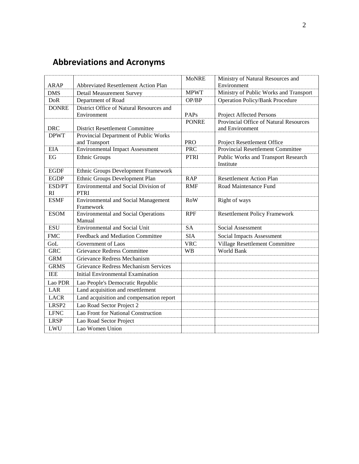# **Abbreviations and Acronyms**

|                     |                                                      | <b>MoNRE</b> | Ministry of Natural Resources and                                       |
|---------------------|------------------------------------------------------|--------------|-------------------------------------------------------------------------|
| <b>ARAP</b>         | <b>Abbreviated Resettlement Action Plan</b>          |              | Environment                                                             |
| <b>DMS</b>          | <b>Detail Measurement Survey</b>                     | <b>MPWT</b>  | Ministry of Public Works and Transport                                  |
| <b>DoR</b>          | Department of Road                                   | OP/BP        | <b>Operation Policy/Bank Procedure</b>                                  |
| <b>DONRE</b>        | District Office of Natural Resources and             |              |                                                                         |
|                     | Environment                                          | <b>PAPs</b>  | Project Affected Persons                                                |
|                     |                                                      | <b>PONRE</b> | <b>Provincial Office of Natural Resources</b>                           |
| <b>DRC</b>          | <b>District Resettlement Committee</b>               |              | and Environment                                                         |
| <b>DPWT</b>         | Provincial Department of Public Works                |              |                                                                         |
| <b>EIA</b>          | and Transport                                        | <b>PRO</b>   | Project Resettlement Office<br><b>Provincial Resettlement Committee</b> |
|                     | <b>Environmental Impact Assessment</b>               | <b>PRC</b>   |                                                                         |
| EG                  | <b>Ethnic Groups</b>                                 | <b>PTRI</b>  | Public Works and Transport Research                                     |
| <b>EGDF</b>         | Ethnic Groups Development Framework                  |              | Institute                                                               |
| <b>EGDP</b>         | Ethnic Groups Development Plan                       | <b>RAP</b>   | <b>Resettlement Action Plan</b>                                         |
|                     | <b>Environmental and Social Division of</b>          |              |                                                                         |
| <b>ESD/PT</b><br>R1 | <b>PTRI</b>                                          | <b>RMF</b>   | Road Maintenance Fund                                                   |
| <b>ESMF</b>         | <b>Environmental and Social Management</b>           | <b>RoW</b>   | Right of ways                                                           |
|                     | Framework                                            |              |                                                                         |
| <b>ESOM</b>         | <b>Environmental and Social Operations</b><br>Manual | <b>RPF</b>   | <b>Resettlement Policy Framework</b>                                    |
| <b>ESU</b>          | <b>Environmental and Social Unit</b>                 | <b>SA</b>    | Social Assessment                                                       |
| <b>FMC</b>          | Feedback and Mediation Committee                     | <b>SIA</b>   | <b>Social Impacts Assessment</b>                                        |
| GoL                 | Government of Laos                                   | <b>VRC</b>   | Village Resettlement Committee                                          |
| <b>GRC</b>          | <b>Grievance Redress Committee</b>                   | <b>WB</b>    | World Bank                                                              |
| <b>GRM</b>          | Grievance Redress Mechanism                          |              |                                                                         |
| <b>GRMS</b>         | <b>Grievance Redress Mechanism Services</b>          |              |                                                                         |
| <b>IEE</b>          | <b>Initial Environmental Examination</b>             |              |                                                                         |
| Lao PDR             | Lao People's Democratic Republic                     |              |                                                                         |
| <b>LAR</b>          | Land acquisition and resettlement                    |              |                                                                         |
| <b>LACR</b>         | Land acquisition and compensation report             |              |                                                                         |
| LRSP2               | Lao Road Sector Project 2                            |              |                                                                         |
| <b>LFNC</b>         | Lao Front for National Construction                  |              |                                                                         |
| <b>LRSP</b>         | Lao Road Sector Project                              |              |                                                                         |
| LWU                 | Lao Women Union                                      |              |                                                                         |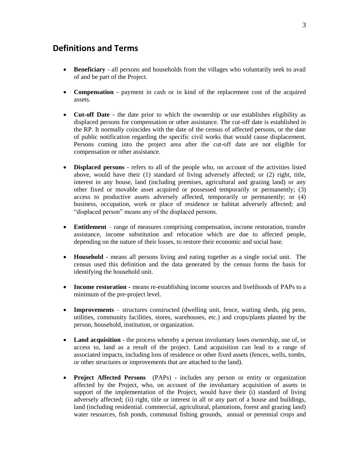## **Definitions and Terms**

- **Beneficiary**  all persons and households from the villages who voluntarily seek to avail of and be part of the Project.
- **Compensation** payment in cash or in kind of the replacement cost of the acquired assets.
- **Cut-off Date -** the date prior to which the ownership or use establishes eligibility as displaced persons for compensation or other assistance. The cut-off date is established in the RP. It normally coincides with the date of the census of affected persons, or the date of public notification regarding the specific civil works that would cause displacement. Persons coming into the project area after the cut-off date are not eligible for compensation or other assistance.
- **Displaced persons** refers to all of the people who, on account of the activities listed above, would have their (1) standard of living adversely affected; or (2) right, title, interest in any house, land (including premises, agricultural and grazing land) or any other fixed or movable asset acquired or possessed temporarily or permanently; (3) access to productive assets adversely affected, temporarily or permanently; or (4) business, occupation, work or place of residence or habitat adversely affected; and "displaced person" means any of the displaced persons.
- **Entitlement** range of measures comprising compensation, income restoration, transfer assistance, income substitution and relocation which are due to affected people, depending on the nature of their losses, to restore their economic and social base.
- **Household -** means all persons living and eating together as a single social unit. The census used this definition and the data generated by the census forms the basis for identifying the household unit.
- **Income restoration -** means re-establishing income sources and livelihoods of PAPs to a minimum of the pre-project level*.*
- **Improvements** structures constructed (dwelling unit, fence, waiting sheds, pig pens, utilities, community facilities, stores, warehouses, etc.) and crops/plants planted by the person, household, institution, or organization.
- **Land acquisition** the process whereby a person involuntary loses ownership, use of, or access to, land as a result of the project. Land acquisition can lead to a range of associated impacts, including loss of residence or other fixed assets (fences, wells, tombs, or other structures or improvements that are attached to the land).
- **Project Affected Persons** (PAPs) includes any person or entity or organization affected by the Project, who, on account of the involuntary acquisition of assets in support of the implementation of the Project, would have their (i) standard of living adversely affected; (ii) right, title or interest in all or any part of a house and buildings, land (including residential. commercial, agricultural, plantations, forest and grazing land) water resources, fish ponds, communal fishing grounds, annual or perennial crops and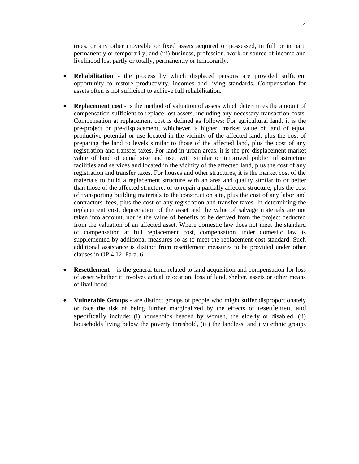trees, or any other moveable or fixed assets acquired or possessed, in full or in part, permanently or temporarily; and (iii) business, profession, work or source of income and livelihood lost partly or totally, permanently or temporarily.

- **Rehabilitation**  the process by which displaced persons are provided sufficient opportunity to restore productivity, incomes and living standards. Compensation for assets often is not sufficient to achieve full rehabilitation.
- **Replacement cost** is the method of valuation of assets which determines the amount of compensation sufficient to replace lost assets, including any necessary transaction costs. Compensation at replacement cost is defined as follows: For agricultural land, it is the pre-project or pre-displacement, whichever is higher, market value of land of equal productive potential or use located in the vicinity of the affected land, plus the cost of preparing the land to levels similar to those of the affected land, plus the cost of any registration and transfer taxes. For land in urban areas, it is the pre-displacement market value of land of equal size and use, with similar or improved public infrastructure facilities and services and located in the vicinity of the affected land, plus the cost of any registration and transfer taxes. For houses and other structures, it is the market cost of the materials to build a replacement structure with an area and quality similar to or better than those of the affected structure, or to repair a partially affected structure, plus the cost of transporting building materials to the construction site, plus the cost of any labor and contractors' fees, plus the cost of any registration and transfer taxes. In determining the replacement cost, depreciation of the asset and the value of salvage materials are not taken into account, nor is the value of benefits to be derived from the project deducted from the valuation of an affected asset. Where domestic law does not meet the standard of compensation at full replacement cost, compensation under domestic law is supplemented by additional measures so as to meet the replacement cost standard. Such additional assistance is distinct from resettlement measures to be provided under other clauses in OP 4.12, Para. 6.
- **Resettlement** is the general term related to land acquisition and compensation for loss of asset whether it involves actual relocation, loss of land, shelter, assets or other means of livelihood.
- **Vulnerable Groups -** are distinct groups of people who might suffer disproportionately or face the risk of being further marginalized by the effects of resettlement and specifically include: (i) households headed by women, the elderly or disabled, (ii) households living below the poverty threshold, (iii) the landless, and (iv) ethnic groups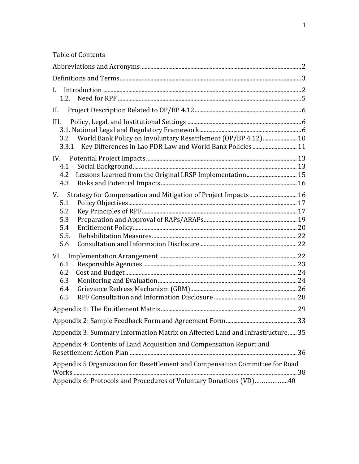| <b>Table of Contents</b>                                                                                                                             |
|------------------------------------------------------------------------------------------------------------------------------------------------------|
|                                                                                                                                                      |
|                                                                                                                                                      |
| $\mathbf{I}$ .<br>1.2.                                                                                                                               |
| II.                                                                                                                                                  |
| III.<br>World Bank Policy on Involuntary Resettlement (OP/BP 4.12) 10<br>3.2<br>Key Differences in Lao PDR Law and World Bank Policies 11<br>3.3.1   |
| IV.<br>4.1<br>Lessons Learned from the Original LRSP Implementation 15<br>4.2<br>4.3                                                                 |
| Strategy for Compensation and Mitigation of Project Impacts  16<br>V.<br>5.1<br>5.2<br>5.3<br>5.4<br>5.5.<br>5.6                                     |
| VI<br>6.1<br>6.2<br>6.3<br>6.4<br>6.5                                                                                                                |
|                                                                                                                                                      |
|                                                                                                                                                      |
| Appendix 3: Summary Information Matrix on Affected Land and Infrastructure 35                                                                        |
| Appendix 4: Contents of Land Acquisition and Compensation Report and<br>Appendix 5 Organization for Resettlement and Compensation Committee for Road |
| Appendix 6: Protocols and Procedures of Voluntary Donations (VD)40                                                                                   |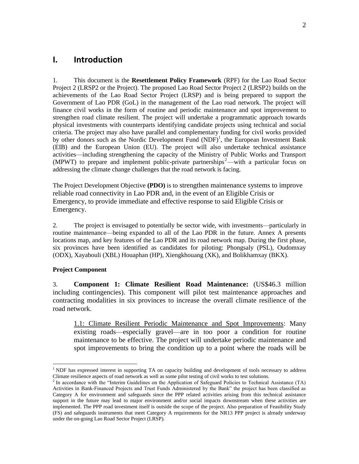## **I. Introduction**

1. This document is the **Resettlement Policy Framework** (RPF) for the Lao Road Sector Project 2 (LRSP2 or the Project). The proposed Lao Road Sector Project 2 (LRSP2) builds on the achievements of the Lao Road Sector Project (LRSP) and is being prepared to support the Government of Lao PDR (GoL) in the management of the Lao road network. The project will finance civil works in the form of routine and periodic maintenance and spot improvement to strengthen road climate resilient. The project will undertake a programmatic approach towards physical investments with counterparts identifying candidate projects using technical and social criteria. The project may also have parallel and complementary funding for civil works provided by other donors such as the Nordic Development Fund  $(NDF)^1$ , the European Investment Bank (EIB) and the European Union (EU). The project will also undertake technical assistance activities—including strengthening the capacity of the Ministry of Public Works and Transport (MPWT) to prepare and implement public-private partnerships<sup>2</sup>—with a particular focus on addressing the climate change challenges that the road network is facing.

The Project Development Objective **(PDO)** is to strengthen maintenance systems to improve reliable road connectivity in Lao PDR and, in the event of an Eligible Crisis or Emergency, to provide immediate and effective response to said Eligible Crisis or Emergency.

2. The project is envisaged to potentially be sector wide, with investments—particularly in routine maintenance—being expanded to all of the Lao PDR in the future. Annex A presents locations map, and key features of the Lao PDR and its road network map. During the first phase, six provinces have been identified as candidates for piloting: Phongsaly (PSL), Oudomxay (ODX), Xayabouli (XBL) Houaphan (HP), Xiengkhouang (XK), and Bolikhamxay (BKX).

### **Project Component**

 $\overline{a}$ 

3. **Component 1: Climate Resilient Road Maintenance:** (US\$46.3 million including contingencies). This component will pilot test maintenance approaches and contracting modalities in six provinces to increase the overall climate resilience of the road network.

1.1: Climate Resilient Periodic Maintenance and Spot Improvements: Many existing roads—especially gravel—are in too poor a condition for routine maintenance to be effective. The project will undertake periodic maintenance and spot improvements to bring the condition up to a point where the roads will be

<sup>&</sup>lt;sup>1</sup> NDF has expressed interest in supporting TA on capacity building and development of tools necessary to address Climate resilience aspects of road network as well as some pilot testing of civil works to test solutions.

 $<sup>2</sup>$  In accordance with the "Interim Guidelines on the Application of Safeguard Policies to Technical Assistance (TA)</sup> Activities in Bank-Financed Projects and Trust Funds Administered by the Bank" the project has been classified as Category A for environment and safeguards since the PPP related activities arising from this technical assistance support in the future may lead to major environment and/or social impacts downstream when these activities are implemented. The PPP road investment itself is outside the scope of the project. Also preparation of Feasibility Study (FS) and safeguards instruments that meet Category A requirements for the NR13 PPP project is already underway under the on-going Lao Road Sector Project (LRSP).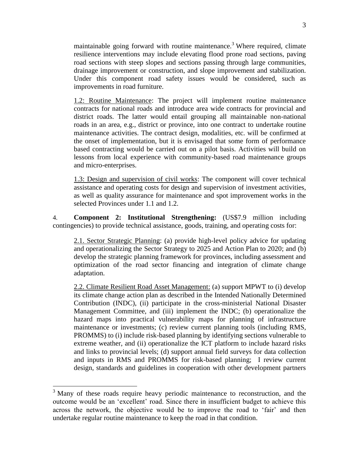maintainable going forward with routine maintenance.<sup>3</sup> Where required, climate resilience interventions may include elevating flood prone road sections, paving road sections with steep slopes and sections passing through large communities, drainage improvement or construction, and slope improvement and stabilization. Under this component road safety issues would be considered, such as improvements in road furniture.

1.2: Routine Maintenance: The project will implement routine maintenance contracts for national roads and introduce area wide contracts for provincial and district roads. The latter would entail grouping all maintainable non-national roads in an area, e.g., district or province, into one contract to undertake routine maintenance activities. The contract design, modalities, etc. will be confirmed at the onset of implementation, but it is envisaged that some form of performance based contracting would be carried out on a pilot basis. Activities will build on lessons from local experience with community-based road maintenance groups and micro-enterprises.

1.3: Design and supervision of civil works: The component will cover technical assistance and operating costs for design and supervision of investment activities, as well as quality assurance for maintenance and spot improvement works in the selected Provinces under 1.1 and 1.2.

4. **Component 2: Institutional Strengthening:** (US\$7.9 million including contingencies) to provide technical assistance, goods, training, and operating costs for:

2.1. Sector Strategic Planning: (a) provide high-level policy advice for updating and operationalizing the Sector Strategy to 2025 and Action Plan to 2020; and (b) develop the strategic planning framework for provinces, including assessment and optimization of the road sector financing and integration of climate change adaptation.

2.2. Climate Resilient Road Asset Management: (a) support MPWT to (i) develop its climate change action plan as described in the Intended Nationally Determined Contribution (INDC), (ii) participate in the cross-ministerial National Disaster Management Committee, and (iii) implement the INDC; (b) operationalize the hazard maps into practical vulnerability maps for planning of infrastructure maintenance or investments; (c) review current planning tools (including RMS, PROMMS) to (i) include risk-based planning by identifying sections vulnerable to extreme weather, and (ii) operationalize the ICT platform to include hazard risks and links to provincial levels; (d) support annual field surveys for data collection and inputs in RMS and PROMMS for risk-based planning; I review current design, standards and guidelines in cooperation with other development partners

 $\overline{a}$ 

<sup>&</sup>lt;sup>3</sup> Many of these roads require heavy periodic maintenance to reconstruction, and the outcome would be an 'excellent' road. Since there in insufficient budget to achieve this across the network, the objective would be to improve the road to 'fair' and then undertake regular routine maintenance to keep the road in that condition.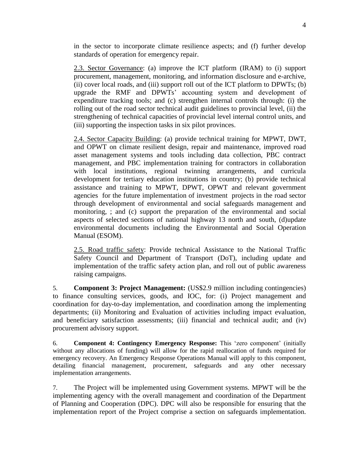in the sector to incorporate climate resilience aspects; and (f) further develop standards of operation for emergency repair.

2.3. Sector Governance: (a) improve the ICT platform (IRAM) to (i) support procurement, management, monitoring, and information disclosure and e-archive, (ii) cover local roads, and (iii) support roll out of the ICT platform to DPWTs;  $(b)$ upgrade the RMF and DPWTs' accounting system and development of expenditure tracking tools; and (c) strengthen internal controls through: (i) the rolling out of the road sector technical audit guidelines to provincial level, (ii) the strengthening of technical capacities of provincial level internal control units, and (iii) supporting the inspection tasks in six pilot provinces.

2.4. Sector Capacity Building: (a) provide technical training for MPWT, DWT, and OPWT on climate resilient design, repair and maintenance, improved road asset management systems and tools including data collection, PBC contract management, and PBC implementation training for contractors in collaboration with local institutions, regional twinning arrangements, and curricula development for tertiary education institutions in country; (b) provide technical assistance and training to MPWT, DPWT, OPWT and relevant government agencies for the future implementation of investment projects in the road sector through development of environmental and social safeguards management and monitoring, ; and (c) support the preparation of the environmental and social aspects of selected sections of national highway 13 north and south, (d)update environmental documents including the Environmental and Social Operation Manual (ESOM).

2.5. Road traffic safety: Provide technical Assistance to the National Traffic Safety Council and Department of Transport (DoT), including update and implementation of the traffic safety action plan, and roll out of public awareness raising campaigns.

5. **Component 3: Project Management:** (US\$2.9 million including contingencies) to finance consulting services, goods, and IOC, for: (i) Project management and coordination for day-to-day implementation, and coordination among the implementing departments; (ii) Monitoring and Evaluation of activities including impact evaluation, and beneficiary satisfaction assessments; (iii) financial and technical audit; and (iv) procurement advisory support.

6. **Component 4: Contingency Emergency Response:** This 'zero component' (initially without any allocations of funding) will allow for the rapid reallocation of funds required for emergency recovery. An Emergency Response Operations Manual will apply to this component, detailing financial management, procurement, safeguards and any other necessary implementation arrangements.

7. The Project will be implemented using Government systems. MPWT will be the implementing agency with the overall management and coordination of the Department of Planning and Cooperation (DPC). DPC will also be responsible for ensuring that the implementation report of the Project comprise a section on safeguards implementation.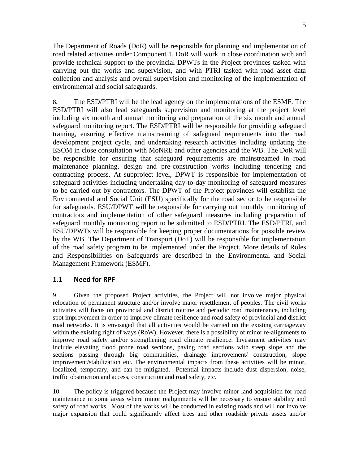The Department of Roads (DoR) will be responsible for planning and implementation of road related activities under Component 1. DoR will work in close coordination with and provide technical support to the provincial DPWTs in the Project provinces tasked with carrying out the works and supervision, and with PTRI tasked with road asset data collection and analysis and overall supervision and monitoring of the implementation of environmental and social safeguards.

8. The ESD/PTRI will be the lead agency on the implementations of the ESMF. The ESD/PTRI will also lead safeguards supervision and monitoring at the project level including six month and annual monitoring and preparation of the six month and annual safeguard monitoring report. The ESD/PTRI will be responsible for providing safeguard training, ensuring effective mainstreaming of safeguard requirements into the road development project cycle, and undertaking research activities including updating the ESOM in close consultation with MoNRE and other agencies and the WB. The DoR will be responsible for ensuring that safeguard requirements are mainstreamed in road maintenance planning, design and pre-construction works including tendering and contracting process. At subproject level, DPWT is responsible for implementation of safeguard activities including undertaking day-to-day monitoring of safeguard measures to be carried out by contractors. The DPWT of the Project provinces will establish the Environmental and Social Unit (ESU) specifically for the road sector to be responsible for safeguards. ESU/DPWT will be responsible for carrying out monthly monitoring of contractors and implementation of other safeguard measures including preparation of safeguard monthly monitoring report to be submitted to ESD/PTRI. The ESD/PTRI, and ESU/DPWTs will be responsible for keeping proper documentations for possible review by the WB. The Department of Transport (DoT) will be responsible for implementation of the road safety program to be implemented under the Project. More details of Roles and Responsibilities on Safeguards are described in the Environmental and Social Management Framework (ESMF).

### **1.1 Need for RPF**

9. Given the proposed Project activities, the Project will not involve major physical relocation of permanent structure and/or involve major resettlement of peoples. The civil works activities will focus on provincial and district routine and periodic road maintenance, including spot improvement in order to improve climate resilience and road safety of provincial and district road networks. It is envisaged that all activities would be carried on the existing carriageway within the existing right of ways (RoW). However, there is a possibility of minor re-alignments to improve road safety and/or strengthening road climate resilience. Investment activities may include elevating flood prone road sections, paving road sections with steep slope and the sections passing through big communities, drainage improvement/ construction, slope improvement/stabilization etc. The environmental impacts from these activities will be minor, localized, temporary, and can be mitigated. Potential impacts include dust dispersion, noise, traffic obstruction and access, construction and road safety, etc.

10. The policy is triggered because the Project may involve minor land acquisition for road maintenance in some areas where minor realignments will be necessary to ensure stability and safety of road works. Most of the works will be conducted in existing roads and will not involve major expansion that could significantly affect trees and other roadside private assets and/or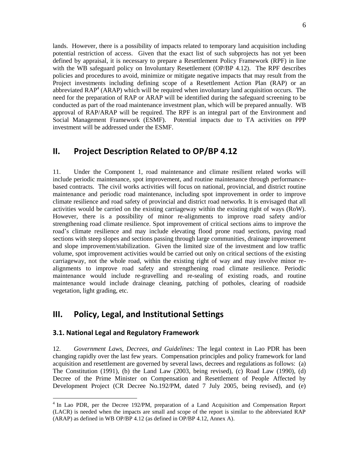lands. However, there is a possibility of impacts related to temporary land acquisition including potential restriction of access. Given that the exact list of such subprojects has not yet been defined by appraisal, it is necessary to prepare a Resettlement Policy Framework (RPF) in line with the WB safeguard policy on Involuntary Resettlement (OP/BP 4.12). The RPF describes policies and procedures to avoid, minimize or mitigate negative impacts that may result from the Project investments including defining scope of a Resettlement Action Plan (RAP) or an abbreviated  $\text{RAP}^4$  (ARAP) which will be required when involuntary land acquisition occurs. The need for the preparation of RAP or ARAP will be identified during the safeguard screening to be conducted as part of the road maintenance investment plan, which will be prepared annually. WB approval of RAP/ARAP will be required. The RPF is an integral part of the Environment and Social Management Framework (ESMF). Potential impacts due to TA activities on PPP investment will be addressed under the ESMF.

## **II. Project Description Related to OP/BP 4.12**

11. Under the Component 1, road maintenance and climate resilient related works will include periodic maintenance, spot improvement, and routine maintenance through performancebased contracts. The civil works activities will focus on national, provincial, and district routine maintenance and periodic road maintenance, including spot improvement in order to improve climate resilience and road safety of provincial and district road networks. It is envisaged that all activities would be carried on the existing carriageway within the existing right of ways (RoW). However, there is a possibility of minor re-alignments to improve road safety and/or strengthening road climate resilience. Spot improvement of critical sections aims to improve the road's climate resilience and may include elevating flood prone road sections, paving road sections with steep slopes and sections passing through large communities, drainage improvement and slope improvement/stabilization. Given the limited size of the investment and low traffic volume, spot improvement activities would be carried out only on critical sections of the existing carriageway, not the whole road, within the existing right of way and may involve minor realignments to improve road safety and strengthening road climate resilience. Periodic maintenance would include re-gravelling and re-sealing of existing roads, and routine maintenance would include drainage cleaning, patching of potholes, clearing of roadside vegetation, light grading, etc.

## **III. Policy, Legal, and Institutional Settings**

### **3.1. National Legal and Regulatory Framework**

 $\overline{a}$ 

12. *Government Laws, Decrees, and Guidelines:* The legal context in Lao PDR has been changing rapidly over the last few years. Compensation principles and policy framework for land acquisition and resettlement are governed by several laws, decrees and regulations as follows: (a) The Constitution (1991), (b) the Land Law (2003, being revised), (c) Road Law (1990), (d) Decree of the Prime Minister on Compensation and Resettlement of People Affected by Development Project (CR Decree No.192/PM, dated 7 July 2005, being revised), and (e)

<sup>&</sup>lt;sup>4</sup> In Lao PDR, per the Decree 192/PM, preparation of a Land Acquisition and Compensation Report (LACR) is needed when the impacts are small and scope of the report is similar to the abbreviated RAP (ARAP) as defined in WB OP/BP 4.12 (as defined in OP/BP 4.12, Annex A).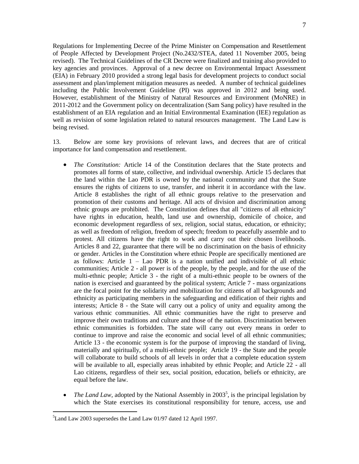Regulations for Implementing Decree of the Prime Minister on Compensation and Resettlement of People Affected by Development Project (No.2432/STEA, dated 11 November 2005, being revised). The Technical Guidelines of the CR Decree were finalized and training also provided to key agencies and provinces. Approval of a new decree on Environmental Impact Assessment (EIA) in February 2010 provided a strong legal basis for development projects to conduct social assessment and plan/implement mitigation measures as needed. A number of technical guidelines including the Public Involvement Guideline (PI) was approved in 2012 and being used. However, establishment of the Ministry of Natural Resources and Environment (MoNRE) in 2011-2012 and the Government policy on decentralization (Sam Sang policy) have resulted in the establishment of an EIA regulation and an Initial Environmental Examination (IEE) regulation as well as revision of some legislation related to natural resources management. The Land Law is being revised.

13. Below are some key provisions of relevant laws, and decrees that are of critical importance for land compensation and resettlement.

- *The Constitution:* Article 14 of the Constitution declares that the State protects and promotes all forms of state, collective, and individual ownership. Article 15 declares that the land within the Lao PDR is owned by the national community and that the State ensures the rights of citizens to use, transfer, and inherit it in accordance with the law. Article 8 establishes the right of all ethnic groups relative to the preservation and promotion of their customs and heritage. All acts of division and discrimination among ethnic groups are prohibited. The Constitution defines that all "citizens of all ethnicity" have rights in education, health, land use and ownership, domicile of choice, and economic development regardless of sex, religion, social status, education, or ethnicity; as well as freedom of religion, freedom of speech; freedom to peacefully assemble and to protest. All citizens have the right to work and carry out their chosen livelihoods. Articles 8 and 22, guarantee that there will be no discrimination on the basis of ethnicity or gender. Articles in the Constitution where ethnic People are specifically mentioned are as follows: Article  $1 - Lao$  PDR is a nation unified and indivisible of all ethnic communities; Article 2 - all power is of the people, by the people, and for the use of the multi-ethnic people; Article 3 - the right of a multi-ethnic people to be owners of the nation is exercised and guaranteed by the political system; Article 7 - mass organizations are the focal point for the solidarity and mobilization for citizens of all backgrounds and ethnicity as participating members in the safeguarding and edification of their rights and interests; Article 8 - the State will carry out a policy of unity and equality among the various ethnic communities. All ethnic communities have the right to preserve and improve their own traditions and culture and those of the nation. Discrimination between ethnic communities is forbidden. The state will carry out every means in order to continue to improve and raise the economic and social level of all ethnic communities; Article 13 - the economic system is for the purpose of improving the standard of living, materially and spiritually, of a multi-ethnic people; Article 19 - the State and the people will collaborate to build schools of all levels in order that a complete education system will be available to all, especially areas inhabited by ethnic People; and Article 22 - all Lao citizens, regardless of their sex, social position, education, beliefs or ethnicity, are equal before the law.
- *The Land Law*, adopted by the National Assembly in  $2003^5$ , is the principal legislation by which the State exercises its constitutional responsibility for tenure, access, use and

 $\overline{a}$ 

 ${}^{5}$ Land Law 2003 supersedes the Land Law 01/97 dated 12 April 1997.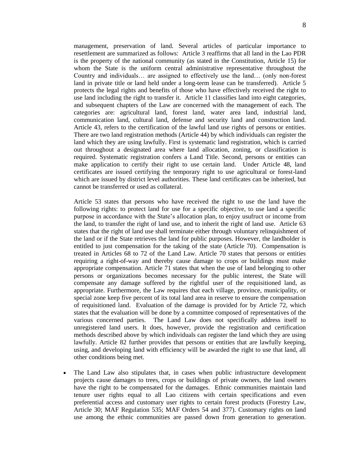management, preservation of land. Several articles of particular importance to resettlement are summarized as follows: Article 3 reaffirms that all land in the Lao PDR is the property of the national community (as stated in the Constitution, Article 15) for whom the State is the uniform central administrative representative throughout the Country and individuals… are assigned to effectively use the land… (only non-forest land in private title or land held under a long-term lease can be transferred). Article 5 protects the legal rights and benefits of those who have effectively received the right to use land including the right to transfer it. Article 11 classifies land into eight categories, and subsequent chapters of the Law are concerned with the management of each. The categories are: agricultural land, forest land, water area land, industrial land, communication land, cultural land, defense and security land and construction land. Article 43, refers to the certification of the lawful land use rights of persons or entities. There are two land registration methods (Article 44) by which individuals can register the land which they are using lawfully. First is systematic land registration, which is carried out throughout a designated area where land allocation, zoning, or classification is required. Systematic registration confers a Land Title. Second, persons or entities can make application to certify their right to use certain land. Under Article 48, land certificates are issued certifying the temporary right to use agricultural or forest-land which are issued by district level authorities. These land certificates can be inherited, but cannot be transferred or used as collateral.

Article 53 states that persons who have received the right to use the land have the following rights: to protect land for use for a specific objective, to use land a specific purpose in accordance with the State's allocation plan, to enjoy usufruct or income from the land, to transfer the right of land use, and to inherit the right of land use. Article 63 states that the right of land use shall terminate either through voluntary relinquishment of the land or if the State retrieves the land for public purposes. However, the landholder is entitled to just compensation for the taking of the state (Article 70). Compensation is treated in Articles 68 to 72 of the Land Law. Article 70 states that persons or entities requiring a right-of-way and thereby cause damage to crops or buildings must make appropriate compensation. Article 71 states that when the use of land belonging to other persons or organizations becomes necessary for the public interest, the State will compensate any damage suffered by the rightful user of the requisitioned land, as appropriate. Furthermore, the Law requires that each village, province, municipality, or special zone keep five percent of its total land area in reserve to ensure the compensation of requisitioned land. Evaluation of the damage is provided for by Article 72, which states that the evaluation will be done by a committee composed of representatives of the various concerned parties. The Land Law does not specifically address itself to unregistered land users. It does, however, provide the registration and certification methods described above by which individuals can register the land which they are using lawfully. Article 82 further provides that persons or entities that are lawfully keeping, using, and developing land with efficiency will be awarded the right to use that land, all other conditions being met.

• The Land Law also stipulates that, in cases when public infrastructure development projects cause damages to trees, crops or buildings of private owners, the land owners have the right to be compensated for the damages. Ethnic communities maintain land tenure user rights equal to all Lao citizens with certain specifications and even preferential access and customary user rights to certain forest products (Forestry Law, Article 30; MAF Regulation 535; MAF Orders 54 and 377). Customary rights on land use among the ethnic communities are passed down from generation to generation.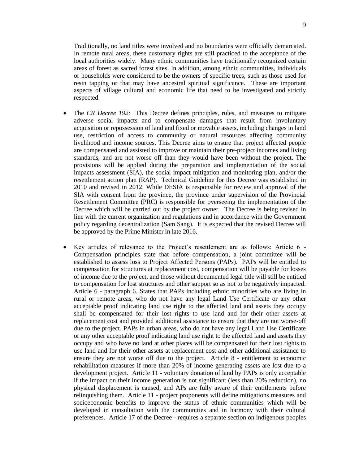Traditionally, no land titles were involved and no boundaries were officially demarcated. In remote rural areas, these customary rights are still practiced to the acceptance of the local authorities widely. Many ethnic communities have traditionally recognized certain areas of forest as sacred forest sites. In addition, among ethnic communities, individuals or households were considered to be the owners of specific trees, such as those used for resin tapping or that may have ancestral spiritual significance. These are important aspects of village cultural and economic life that need to be investigated and strictly respected.

- The *CR Decree 192:* This Decree defines principles, rules, and measures to mitigate adverse social impacts and to compensate damages that result from involuntary acquisition or repossession of land and fixed or movable assets, including changes in land use, restriction of access to community or natural resources affecting community livelihood and income sources. This Decree aims to ensure that project affected people are compensated and assisted to improve or maintain their pre-project incomes and living standards, and are not worse off than they would have been without the project. The provisions will be applied during the preparation and implementation of the social impacts assessment (SIA), the social impact mitigation and monitoring plan, and/or the resettlement action plan (RAP). Technical Guideline for this Decree was established in 2010 and revised in 2012. While DESIA is responsible for review and approval of the SIA with consent from the province, the province under supervision of the Provincial Resettlement Committee (PRC) is responsible for overseeing the implementation of the Decree which will be carried out by the project owner. The Decree is being revised in line with the current organization and regulations and in accordance with the Government policy regarding decentralization (Sam Sang). It is expected that the revised Decree will be approved by the Prime Minister in late 2016.
- Key articles of relevance to the Project's resettlement are as follows: Article 6 Compensation principles state that before compensation, a joint committee will be established to assess loss to Project Affected Persons (PAPs). PAPs will be entitled to compensation for structures at replacement cost, compensation will be payable for losses of income due to the project, and those without documented legal title will still be entitled to compensation for lost structures and other support so as not to be negatively impacted. Article 6 - paragraph 6. States that PAPs including ethnic minorities who are living in rural or remote areas, who do not have any legal Land Use Certificate or any other acceptable proof indicating land use right to the affected land and assets they occupy shall be compensated for their lost rights to use land and for their other assets at replacement cost and provided additional assistance to ensure that they are not worse-off due to the project. PAPs in urban areas, who do not have any legal Land Use Certificate or any other acceptable proof indicating land use right to the affected land and assets they occupy and who have no land at other places will be compensated for their lost rights to use land and for their other assets at replacement cost and other additional assistance to ensure they are not worse off due to the project. Article 8 - entitlement to economic rehabilitation measures if more than 20% of income-generating assets are lost due to a development project. Article 11 - voluntary donation of land by PAPs is only acceptable if the impact on their income generation is not significant (less than 20% reduction), no physical displacement is caused, and APs are fully aware of their entitlements before relinquishing them. Article 11 - project proponents will define mitigations measures and socioeconomic benefits to improve the status of ethnic communities which will be developed in consultation with the communities and in harmony with their cultural preferences. Article 17 of the Decree - requires a separate section on indigenous peoples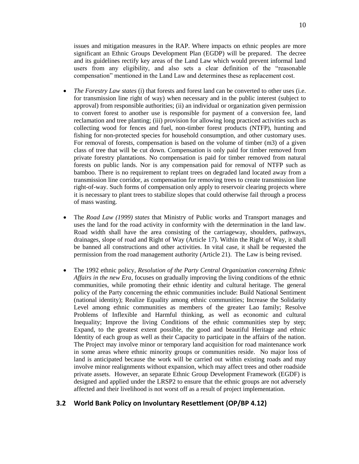issues and mitigation measures in the RAP. Where impacts on ethnic peoples are more significant an Ethnic Groups Development Plan (EGDP) will be prepared. The decree and its guidelines rectify key areas of the Land Law which would prevent informal land users from any eligibility, and also sets a clear definition of the "reasonable compensation" mentioned in the Land Law and determines these as replacement cost.

- *The Forestry Law states (i)* that forests and forest land can be converted to other uses (i.e. for transmission line right of way) when necessary and in the public interest (subject to approval) from responsible authorities; (ii) an individual or organization given permission to convert forest to another use is responsible for payment of a conversion fee, land reclamation and tree planting; (iii) provision for allowing long practiced activities such as collecting wood for fences and fuel, non-timber forest products (NTFP), hunting and fishing for non-protected species for household consumption, and other customary uses. For removal of forests, compensation is based on the volume of timber (m3) of a given class of tree that will be cut down. Compensation is only paid for timber removed from private forestry plantations. No compensation is paid for timber removed from natural forests on public lands. Nor is any compensation paid for removal of NTFP such as bamboo. There is no requirement to replant trees on degraded land located away from a transmission line corridor, as compensation for removing trees to create transmission line right-of-way. Such forms of compensation only apply to reservoir clearing projects where it is necessary to plant trees to stabilize slopes that could otherwise fail through a process of mass wasting.
- The *Road Law (1999) states* that Ministry of Public works and Transport manages and uses the land for the road activity in conformity with the determination in the land law. Road width shall have the area consisting of the carriageway, shoulders, pathways, drainages, slope of road and Right of Way (Article 17). Within the Right of Way, it shall be banned all constructions and other activities. In vital case, it shall be requested the permission from the road management authority (Article 21). The Law is being revised.
- The 1992 ethnic policy, *Resolution of the Party Central Organization concerning Ethnic Affairs in the new Era*, focuses on gradually improving the living conditions of the ethnic communities, while promoting their ethnic identity and cultural heritage. The general policy of the Party concerning the ethnic communities include: Build National Sentiment (national identity); Realize Equality among ethnic communities; Increase the Solidarity Level among ethnic communities as members of the greater Lao family; Resolve Problems of Inflexible and Harmful thinking, as well as economic and cultural Inequality; Improve the living Conditions of the ethnic communities step by step; Expand, to the greatest extent possible, the good and beautiful Heritage and ethnic Identity of each group as well as their Capacity to participate in the affairs of the nation. The Project may involve minor or temporary land acquisition for road maintenance work in some areas where ethnic minority groups or communities reside. No major loss of land is anticipated because the work will be carried out within existing roads and may involve minor realignments without expansion, which may affect trees and other roadside private assets. However, an separate Ethnic Group Development Framework (EGDF) is designed and applied under the LRSP2 to ensure that the ethnic groups are not adversely affected and their livelihood is not worst off as a result of project implementation.

### **3.2 World Bank Policy on Involuntary Resettlement (OP/BP 4.12)**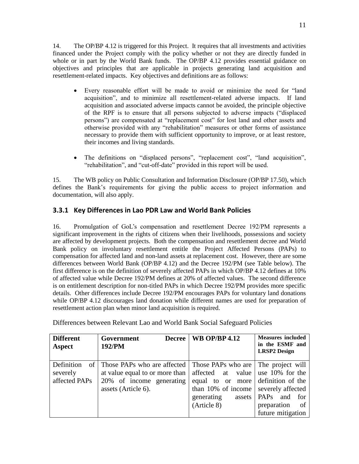14. The OP/BP 4.12 is triggered for this Project. It requires that all investments and activities financed under the Project comply with the policy whether or not they are directly funded in whole or in part by the World Bank funds. The OP/BP 4.12 provides essential guidance on objectives and principles that are applicable in projects generating land acquisition and resettlement-related impacts. Key objectives and definitions are as follows:

- Every reasonable effort will be made to avoid or minimize the need for "land acquisition", and to minimize all resettlement-related adverse impacts. If land acquisition and associated adverse impacts cannot be avoided, the principle objective of the RPF is to ensure that all persons subjected to adverse impacts ("displaced persons") are compensated at "replacement cost" for lost land and other assets and otherwise provided with any "rehabilitation" measures or other forms of assistance necessary to provide them with sufficient opportunity to improve, or at least restore, their incomes and living standards.
- The definitions on "displaced persons", "replacement cost", "land acquisition", "rehabilitation", and "cut-off-date" provided in this report will be used.

15. The WB policy on Public Consultation and Information Disclosure (OP/BP 17.50), which defines the Bank's requirements for giving the public access to project information and documentation, will also apply.

### **3.3.1 Key Differences in Lao PDR Law and World Bank Policies**

16. Promulgation of GoL's compensation and resettlement Decree 192/PM represents a significant improvement in the rights of citizens when their livelihoods, possessions and society are affected by development projects. Both the compensation and resettlement decree and World Bank policy on involuntary resettlement entitle the Project Affected Persons (PAPs) to compensation for affected land and non-land assets at replacement cost. However, there are some differences between World Bank (OP/BP 4.12) and the Decree 192/PM (see Table below). The first difference is on the definition of severely affected PAPs in which OP/BP 4.12 defines at 10% of affected value while Decree 192/PM defines at 20% of affected values. The second difference is on entitlement description for non-titled PAPs in which Decree 192/PM provides more specific details. Other differences include Decree 192/PM encourages PAPs for voluntary land donations while OP/BP 4.12 discourages land donation while different names are used for preparation of resettlement action plan when minor land acquisition is required.

|                                                                                                                                                                                                                                                                                                                                                                         | <b>Different</b><br><b>Aspect</b> | Government<br><b>Decree</b><br>192/PM | <b>WB OP/BP 4.12</b> | <b>Measures</b> included<br>in the ESMF and<br><b>LRSP2</b> Design |
|-------------------------------------------------------------------------------------------------------------------------------------------------------------------------------------------------------------------------------------------------------------------------------------------------------------------------------------------------------------------------|-----------------------------------|---------------------------------------|----------------------|--------------------------------------------------------------------|
| Those PAPs who are affected   Those PAPs who are   The project will<br>affected at value use 10% for the<br>at value equal to or more than<br>severely<br>affected PAPs<br>equal to or more definition of the<br>20% of income generating<br>than 10% of income severely affected<br>assets (Article 6).<br>PAP <sub>s</sub> and<br>generating<br>assets<br>(Article 8) | Definition<br>οf                  |                                       |                      | for<br>preparation of<br>future mitigation                         |

Differences between Relevant Lao and World Bank Social Safeguard Policies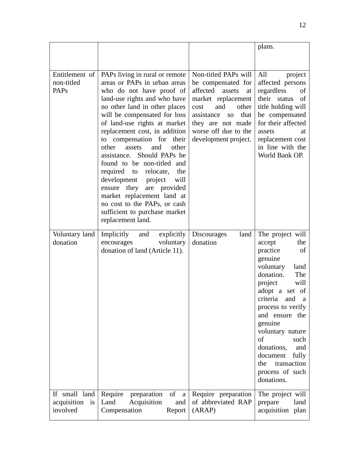|                                                  |                                                                                                                                                                                                                                                                                                                                                                                                                                                                                                                                                                                                                           |                                                                                                                                                                                                                              | plans.                                                                                                                                                                                                                                                                                                                                                       |
|--------------------------------------------------|---------------------------------------------------------------------------------------------------------------------------------------------------------------------------------------------------------------------------------------------------------------------------------------------------------------------------------------------------------------------------------------------------------------------------------------------------------------------------------------------------------------------------------------------------------------------------------------------------------------------------|------------------------------------------------------------------------------------------------------------------------------------------------------------------------------------------------------------------------------|--------------------------------------------------------------------------------------------------------------------------------------------------------------------------------------------------------------------------------------------------------------------------------------------------------------------------------------------------------------|
| Entitlement of<br>non-titled<br>PAP <sub>s</sub> | PAPs living in rural or remote<br>areas or PAPs in urban areas<br>who do not have proof of<br>land-use rights and who have<br>no other land in other places<br>will be compensated for loss<br>of land-use rights at market<br>replacement cost, in addition<br>to compensation for their<br>other<br>other<br>assets<br>and<br>Should PAPs be<br>assistance.<br>found to be non-titled and<br>required<br>relocate,<br>the<br>to<br>development<br>project<br>will<br>they<br>are provided<br>ensure<br>market replacement land at<br>no cost to the PAPs, or cash<br>sufficient to purchase market<br>replacement land. | Non-titled PAPs will<br>be compensated for<br>affected<br>assets<br>at<br>market replacement<br>other<br>and<br>cost<br>assistance<br>that<br><b>SO</b><br>they are not made<br>worse off due to the<br>development project. | All<br>project<br>affected persons<br>regardless<br>of<br>their status<br>of<br>title holding will<br>be compensated<br>for their affected<br>assets<br>at<br>replacement cost<br>in line with the<br>World Bank OP.                                                                                                                                         |
| Voluntary land<br>donation                       | Implicitly<br>explicitly<br>and<br>voluntary<br>encourages<br>donation of land (Article 11).                                                                                                                                                                                                                                                                                                                                                                                                                                                                                                                              | <b>Discourages</b><br>land<br>donation                                                                                                                                                                                       | The project will<br>accept<br>the<br>practice<br>of<br>genuine<br>voluntary<br>land<br>donation.<br>The<br>project<br>will<br>adopt a set<br>of<br>criteria<br>and<br>a<br>process to verify<br>and ensure the<br>genuine<br>voluntary nature<br>of<br>such<br>donations,<br>and<br>document<br>fully<br>transaction<br>the<br>process of such<br>donations. |
| If small land<br>acquisition<br>is<br>involved   | Require preparation<br>of a<br>Land<br>Acquisition<br>and<br>Compensation<br>Report                                                                                                                                                                                                                                                                                                                                                                                                                                                                                                                                       | Require preparation<br>of abbreviated RAP<br>(ARAP)                                                                                                                                                                          | The project will<br>prepare<br>land<br>acquisition plan                                                                                                                                                                                                                                                                                                      |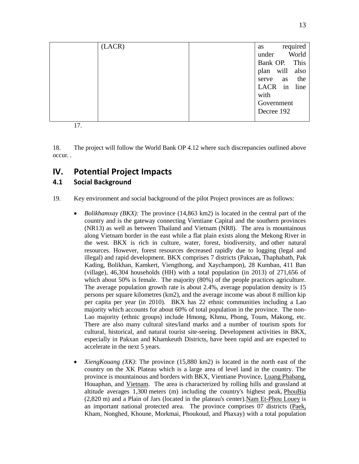| (LACR) | as            |      | required |
|--------|---------------|------|----------|
|        |               |      |          |
|        | under         |      | World    |
|        | Bank OP. This |      |          |
|        | plan          | will | also     |
|        | serve         | as   | the      |
|        | LACR in       |      | line     |
|        | with          |      |          |
|        | Government    |      |          |
|        | Decree 192    |      |          |
|        |               |      |          |

17.

18. The project will follow the World Bank OP 4.12 where such discrepancies outlined above occur. .

## **IV. Potential Project Impacts**

## **4.1 Social Background**

- 19. Key environment and social background of the pilot Project provinces are as follows:
	- *Bolikhamxay (BKX):* The province (14,863 km2) is located in the central part of the country and is the gateway connecting Vientiane Capital and the southern provinces (NR13) as well as between Thailand and Vietnam (NR8). The area is mountainous along Vietnam border in the east while a flat plain exists along the Mekong River in the west. BKX is rich in culture, water, forest, biodiversity, and other natural resources. However, forest resources decreased rapidly due to logging (legal and illegal) and rapid development. BKX comprises 7 districts (Pakxan**,** Thaphabath, Pak Kading, Bolikhan, Kamkert, Viengthong, and Xaychampon), 28 Kumban, 411 Ban (village), 46,304 households (HH) with a total population (in 2013) of 271,656 of which about 50% is female. The majority (80%) of the people practices agriculture. The average population growth rate is about 2.4%, average population density is 15 persons per square kilometres (km2), and the average income was about 8 million kip per capita per year (in 2010). BKX has 22 ethnic communities including a Lao majority which accounts for about 60% of total population in the province. The non-Lao majority (ethnic groups) include Hmong, Khmu, Phong, Toum, Makong, etc. There are also many cultural sites/land marks and a number of tourism spots for cultural, historical, and natural tourist site-seeing. Development activities in BKX, especially in Pakxan and Khamkeuth Districts, have been rapid and are expected to accelerate in the next 5 years.
	- *XiengKouang (XK)*: The province (15,880 km2) is located in the north east of the country on the XK Plateau which is a large area of level land in the country. The province is mountainous and borders with BKX, Vientiane Province, [Luang Phabang,](http://en.wikipedia.org/wiki/Luang_Prabang_Province)  Houaphan, and [Vietnam.](http://en.wikipedia.org/wiki/Vietnam) The area is characterized by rolling hills and grassland at altitude averages 1,300 meters (m) including the country's highest peak, [PhouBia](http://en.wikipedia.org/wiki/Phou_Bia) (2,820 m) and a Plain of Jars (located in the plateau's center)[.Nam Et-Phou Louey](http://en.wikipedia.org/wiki/Nam_Et-Phou_Louey) is an important national protected area. The province comprises 07 districts (Paek, [Kham, N](http://en.wikipedia.org/wiki/Pek_District)onghed, Khoune, Morkmai, Phoukoud, and Phaxay) with a total population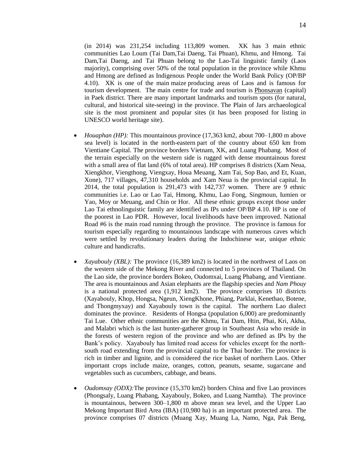14

(in 2014) was 231,254 including 113,809 women. XK has 3 main ethnic communities Lao Loum (Tai Dam,Tai Daeng, Tai Phuan), Khmu, and Hmong. Tai Dam,Tai Daeng, and Tai Phuan belong to the Lao-Tai linguistic family (Laos majority), comprising over 50% of the total population in the province while Khmu and Hmong are defined as Indigenous People under the World Bank Policy (OP/BP 4.10). XK is one of the main [maize](http://en.wikipedia.org/wiki/Maize) producing areas of Laos and is famous for tourism development. The main centre for trade and tourism is [Phonsavan](http://en.wikipedia.org/wiki/Phonsavan) (capital) in Paek district. There are many important landmarks and tourism spots (for natural, cultural, and historical site-seeing) in the province. The [Plain of Jars](http://en.wikipedia.org/wiki/Plain_of_Jars) archaeological site is the most prominent and popular sites (it has been proposed for listing in UNESCO world heritage site).

- *Houaphan (HP):* This mountainous province (17,363 km2, about 700–1,800 m above sea level) is located in the north-eastern part of the country about 650 km from Vientiane Capital. The province borders [Vietnam,](http://en.wikipedia.org/wiki/Vietnam) [XK,](http://en.wikipedia.org/wiki/Xiangkhouang_Province) and [Luang Phabang. M](http://en.wikipedia.org/wiki/Luang_Prabang_Province)ost of the terrain especially on the western side is rugged with dense mountainous forest with a small area of flat land (6% of total area). HP comprises 8 districts (Xam Neua, Xiengkhor, Viengthong, Viengxay, Houa Meuang, Xam Tai, Sop Bao, and Et, Kuan, Xone), 717 villages, 47,310 households and Xam Neua is the provincial capital. In 2014, the total population is 291,473 with 142,737 women. There are 9 ethnic communities i.e. Lao or Lao Tai, Hmong, Khmu, Lao Fong, Singmoun, Iumien or Yao, Moy or Meuang, and Chin or Hor. All these ethnic groups except those under Lao Tai ethnolinguistic family are identified as IPs under OP/BP 4.10. HP is one of the poorest in Lao PDR. However, local livelihoods have been improved. National Road #6 is the main road running through the province. The province is famous for tourism especially regarding to mountainous landscape with numerous caves which were settled by revolutionary leaders during the Indochinese war, unique ethnic culture and handicrafts.
- *Xayabouly (XBL):* The province (16,389 km2) is located in the northwest of Laos on the western side of the Mekong River and connected to 5 provinces of Thailand. On the Lao side, the province borders Bokeo, Oudomxai, Luang Phabang, and Vientiane. The area is mountainous and Asian elephants are the flagship species and *Nam Phouy*  is a national protected area (1,912 km2). The province comprises 10 districts (Xayabouly, Khop, Hongsa, Ngeun, XiengKhone, Phiang, Parklai, Kenethao, Botene, and Thongmyxay) and Xayabouly town is the capital. The northern Lao dialect dominates the province. Residents of Hongsa (population 6,000) are predominantly Tai Lue. Other ethnic communities are the Khmu, Tai Dam, Htin, Phai, Kri, Akha, and Malabri which is the last hunter-gatherer group in Southeast Asia who reside in the forests of western region of the province and who are defined as IPs by the Bank's policy. Xayabouly has limited road access for vehicles except for the northsouth road extending from the provincial capital to the Thai border. The province is rich in timber and lignite, and is considered the rice basket of northern Laos. Other important crops include maize, oranges, cotton, peanuts, sesame, sugarcane and vegetables such as cucumbers, cabbage, and beans.
- *Oudomxay (ODX):* The province (15,370 km2) borders China and five Lao provinces (Phongsaly, Luang Phabang, Xayabouly, Bokeo, and Luang Namtha). The province is mountainous, between 300–1,800 m above mean sea level, and the Upper Lao Mekong Important Bird Area (IBA) (10,980 ha) is an important protected area. The province comprises 07 districts (Muang Xay, Muang La, Namo, Nga, Pak Beng,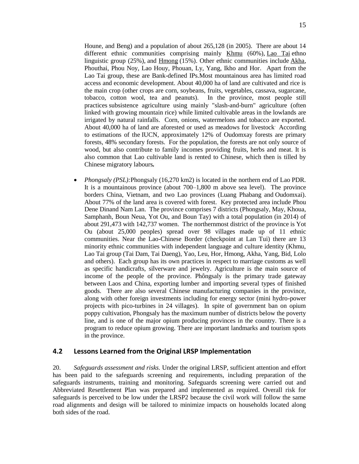Houne, and Beng) and a population of about 265,128 (in 2005). There are about 14 different ethnic communities comprising mainly [Khmu](https://en.wikipedia.org/wiki/Khmu_people) (60%), [Lao Tai](https://en.wikipedia.org/wiki/Lao_Loum) ethno linguistic group (25%), and [Hmong](https://en.wikipedia.org/wiki/Hmong_people) (15%). Other ethnic communities include [Akha,](https://en.wikipedia.org/wiki/Akha_people) Phouthai, Phou Noy, Lao Houy, Phouan, Ly, Yang, Ikho and Hor. Apart from the Lao Tai group, these are Bank-defined IPs.Most mountainous area has limited road access and economic development. About 40,000 ha of land are cultivated and rice is the main crop (other crops are corn, soybeans, fruits, vegetables, cassava, sugarcane, tobacco, cotton wool, tea and peanuts). In the province, most people still practices [subsistence agriculture](https://en.wikipedia.org/wiki/Subsistence_agriculture) using mainly "slash-and-burn" agriculture (often linked with growing mountain rice) while limited cultivable areas in the lowlands are irrigated by natural rainfalls. Corn, onions, watermelons and tobacco are exported. About 40,000 ha of land are aforested or used as meadows for livestock. According to estimations of the [IUCN,](https://en.wikipedia.org/wiki/IUCN) approximately 12% of Oudomxay forests are primary forests, 48% secondary forests. For the population, the forests are not only source of wood, but also contribute to family incomes providing fruits, herbs and meat. It is also common that Lao cultivable land is rented to Chinese, which then is tilled by Chinese migratory labours*.*

 *Phongsaly (PSL):*Phongsaly (16,270 km2) is located in the northern end of Lao PDR. It is a mountainous province (about 700–1,800 m above sea level). The province borders China, [Vietnam,](https://en.wikipedia.org/wiki/Vietnam) and two Lao provinces [\(Luang Phabang a](https://en.wikipedia.org/wiki/Luang_Prabang_Province)nd [Oudomxai\).](https://en.wikipedia.org/wiki/Oudomxai_Province)  About 77% of the land area is covered with forest. Key protected area include [Phou](https://en.wikipedia.org/w/index.php?title=Phou_Dene_Din_National_Biodiversity_Conservation_Area&action=edit&redlink=1)  [Dene Dina](https://en.wikipedia.org/w/index.php?title=Phou_Dene_Din_National_Biodiversity_Conservation_Area&action=edit&redlink=1)nd Nam Lan. The province comprises 7 districts (Phongsaly, May, Khoua, Samphanh, Boun Neua, Yot Ou, and Boun Tay) with a total population (in 2014) of about 291,473 with 142,737 women. The northernmost district of the province is Yot Ou (about 25,000 peoples) spread over 98 villages made up of 11 ethnic communities. Near the Lao-Chinese Border (checkpoint at Lan Tui) there are 13 minority ethnic communities with independent language and culture identity (Khmu, Lao Tai group (Tai Dam, Tai Daeng), Yao, Leu, Hor, Hmong, Akha, Yang, Bid, Lolo and others). Each group has its own practices in respect to marriage customs as well as specific handicrafts, silverware and jewelry. Agriculture is the main source of income of the people of the province. Phôngsaly is the primary trade gateway between Laos and China, exporting lumber and importing several types of finished goods. There are also several Chinese manufacturing companies in the province, along with other foreign investments including for energy sector (mini hydro-power projects with pico-turbines in 24 villages). In spite of government ban on opium poppy cultivation, Phongsaly has the maximum number of districts below the poverty line, and is one of the major opium producing provinces in the country. There is a program to reduce opium growing. There are important landmarks and tourism spots in the province.

### **4.2 Lessons Learned from the Original LRSP Implementation**

20. *Safeguards assessment and risks.* Under the original LRSP, sufficient attention and effort has been paid to the safeguards screening and requirements, including preparation of the safeguards instruments, training and monitoring. Safeguards screening were carried out and Abbreviated Resettlement Plan was prepared and implemented as required. Overall risk for safeguards is perceived to be low under the LRSP2 because the civil work will follow the same road alignments and design will be tailored to minimize impacts on households located along both sides of the road.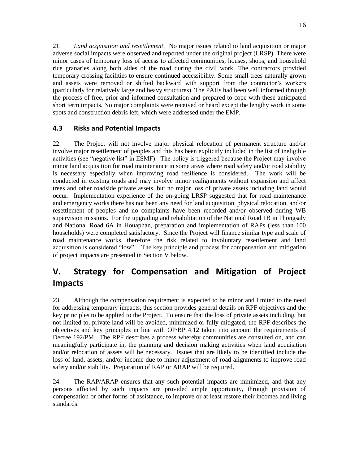21. *Land acquisition and resettlement*. No major issues related to land acquisition or major adverse social impacts were observed and reported under the original project (LRSP). There were minor cases of temporary loss of access to affected communities, houses, shops, and household rice granaries along both sides of the road during the civil work. The contractors provided temporary crossing facilities to ensure continued accessibility. Some small trees naturally grown and assets were removed or shifted backward with support from the contractor's workers (particularly for relatively large and heavy structures). The PAHs had been well informed through the process of free, prior and informed consultation and prepared to cope with these anticipated short term impacts. No major complaints were received or heard except the lengthy work in some spots and construction debris left, which were addressed under the EMP.

### **4.3 Risks and Potential Impacts**

22. The Project will not involve major physical relocation of permanent structure and/or involve major resettlement of peoples and this has been explicitly included in the list of ineligible activities (see "negative list" in ESMF). The policy is triggered because the Project may involve minor land acquisition for road maintenance in some areas where road safety and/or road stability is necessary especially when improving road resilience is considered. The work will be conducted in existing roads and may involve minor realignments without expansion and affect trees and other roadside private assets, but no major loss of private assets including land would occur. Implementation experience of the on-going LRSP suggested that for road maintenance and emergency works there has not been any need for land acquisition, physical relocation, and/or resettlement of peoples and no complaints have been recorded and/or observed during WB supervision missions. For the upgrading and rehabilitation of the National Road 1B in Phongsaly and National Road 6A in Houaphan, preparation and implementation of RAPs (less than 100 households) were completed satisfactory. Since the Project will finance similar type and scale of road maintenance works, therefore the risk related to involuntary resettlement and land acquisition is considered "low". The key principle and process for compensation and mitigation of project impacts are presented in Section V below.

## **V. Strategy for Compensation and Mitigation of Project Impacts**

23. Although the compensation requirement is expected to be minor and limited to the need for addressing temporary impacts, this section provides general details on RPF objectives and the key principles to be applied to the Project. To ensure that the loss of private assets including, but not limited to, private land will be avoided, minimized or fully mitigated, the RPF describes the objectives and key principles in line with OP/BP 4.12 taken into account the requirements of Decree 192/PM. The RPF describes a process whereby communities are consulted on, and can meaningfully participate in, the planning and decision making activities when land acquisition and/or relocation of assets will be necessary. Issues that are likely to be identified include the loss of land, assets, and/or income due to minor adjustment of road alignments to improve road safety and/or stability. Preparation of RAP or ARAP will be required.

24. The RAP/ARAP ensures that any such potential impacts are minimized, and that any persons affected by such impacts are provided ample opportunity, through provision of compensation or other forms of assistance, to improve or at least restore their incomes and living standards.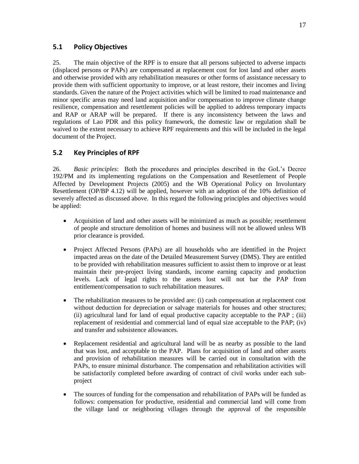### **5.1 Policy Objectives**

25. The main objective of the RPF is to ensure that all persons subjected to adverse impacts (displaced persons or PAPs) are compensated at replacement cost for lost land and other assets and otherwise provided with any rehabilitation measures or other forms of assistance necessary to provide them with sufficient opportunity to improve, or at least restore, their incomes and living standards. Given the nature of the Project activities which will be limited to road maintenance and minor specific areas may need land acquisition and/or compensation to improve climate change resilience, compensation and resettlement policies will be applied to address temporary impacts and RAP or ARAP will be prepared. If there is any inconsistency between the laws and regulations of Lao PDR and this policy framework, the domestic law or regulation shall be waived to the extent necessary to achieve RPF requirements and this will be included in the legal document of the Project.

### **5.2 Key Principles of RPF**

26. *Basic principles*: Both the procedures and principles described in the GoL's Decree 192/PM and its implementing regulations on the Compensation and Resettlement of People Affected by Development Projects (2005) and the WB Operational Policy on Involuntary Resettlement (OP/BP 4.12) will be applied, however with an adoption of the 10% definition of severely affected as discussed above. In this regard the following principles and objectives would be applied:

- Acquisition of land and other assets will be minimized as much as possible; resettlement of people and structure demolition of homes and business will not be allowed unless WB prior clearance is provided.
- Project Affected Persons (PAPs) are all households who are identified in the Project impacted areas on the date of the Detailed Measurement Survey (DMS). They are entitled to be provided with rehabilitation measures sufficient to assist them to improve or at least maintain their pre-project living standards, income earning capacity and production levels. Lack of legal rights to the assets lost will not bar the PAP from entitlement/compensation to such rehabilitation measures.
- The rehabilitation measures to be provided are: (i) cash compensation at replacement cost without deduction for depreciation or salvage materials for houses and other structures; (ii) agricultural land for land of equal productive capacity acceptable to the PAP ; (iii) replacement of residential and commercial land of equal size acceptable to the PAP; (iv) and transfer and subsistence allowances.
- Replacement residential and agricultural land will be as nearby as possible to the land that was lost, and acceptable to the PAP. Plans for acquisition of land and other assets and provision of rehabilitation measures will be carried out in consultation with the PAPs, to ensure minimal disturbance. The compensation and rehabilitation activities will be satisfactorily completed before awarding of contract of civil works under each subproject
- The sources of funding for the compensation and rehabilitation of PAPs will be funded as follows: compensation for productive, residential and commercial land will come from the village land or neighboring villages through the approval of the responsible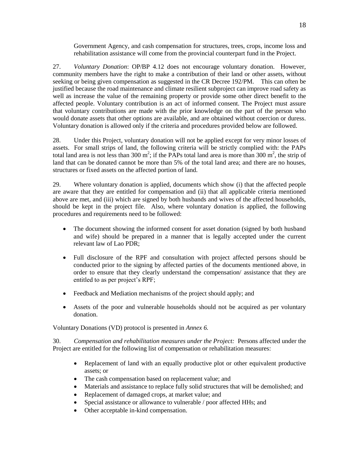Government Agency, and cash compensation for structures, trees, crops, income loss and rehabilitation assistance will come from the provincial counterpart fund in the Project.

27. *Voluntary Donation*: OP/BP 4.12 does not encourage voluntary donation. However, community members have the right to make a contribution of their land or other assets, without seeking or being given compensation as suggested in the CR Decree 192/PM. This can often be justified because the road maintenance and climate resilient subproject can improve road safety as well as increase the value of the remaining property or provide some other direct benefit to the affected people. Voluntary contribution is an act of informed consent. The Project must assure that voluntary contributions are made with the prior knowledge on the part of the person who would donate assets that other options are available, and are obtained without coercion or duress. Voluntary donation is allowed only if the criteria and procedures provided below are followed.

28. Under this Project, voluntary donation will not be applied except for very minor losses of assets. For small strips of land, the following criteria will be strictly complied with: the PAPs total land area is not less than 300  $m^2$ ; if the PAPs total land area is more than 300  $m^2$ , the strip of land that can be donated cannot be more than 5% of the total land area; and there are no houses, structures or fixed assets on the affected portion of land.

29. Where voluntary donation is applied, documents which show (i) that the affected people are aware that they are entitled for compensation and (ii) that all applicable criteria mentioned above are met, and (iii) which are signed by both husbands and wives of the affected households, should be kept in the project file. Also, where voluntary donation is applied, the following procedures and requirements need to be followed:

- The document showing the informed consent for asset donation (signed by both husband and wife) should be prepared in a manner that is legally accepted under the current relevant law of Lao PDR;
- Full disclosure of the RPF and consultation with project affected persons should be conducted prior to the signing by affected parties of the documents mentioned above, in order to ensure that they clearly understand the compensation/ assistance that they are entitled to as per project's RPF;
- Feedback and Mediation mechanisms of the project should apply; and
- Assets of the poor and vulnerable households should not be acquired as per voluntary donation.

Voluntary Donations (VD) protocol is presented in *Annex 6.*

30. *Compensation and rehabilitation measures under the Project:* Persons affected under the Project are entitled for the following list of compensation or rehabilitation measures:

- Replacement of land with an equally productive plot or other equivalent productive assets; or
- The cash compensation based on replacement value; and
- Materials and assistance to replace fully solid structures that will be demolished; and
- Replacement of damaged crops, at market value; and
- Special assistance or allowance to vulnerable / poor affected HHs; and
- Other acceptable in-kind compensation.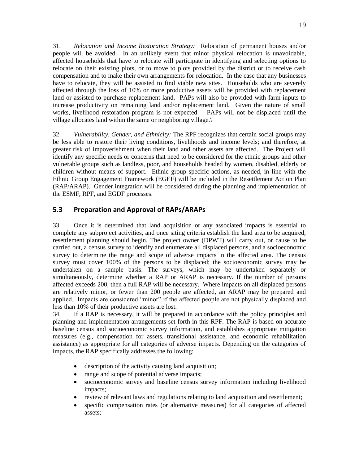31. *Relocation and Income Restoration Strategy:* Relocation of permanent houses and/or people will be avoided. In an unlikely event that minor physical relocation is unavoidable, affected households that have to relocate will participate in identifying and selecting options to relocate on their existing plots, or to move to plots provided by the district or to receive cash compensation and to make their own arrangements for relocation. In the case that any businesses have to relocate, they will be assisted to find viable new sites. Households who are severely affected through the loss of 10% or more productive assets will be provided with replacement land or assisted to purchase replacement land. PAPs will also be provided with farm inputs to increase productivity on remaining land and/or replacement land. Given the nature of small works, livelihood restoration program is not expected. PAPs will not be displaced until the village allocates land within the same or neighboring village.\

32. *Vulnerability, Gender, and Ethnicity:* The RPF recognizes that certain social groups may be less able to restore their living conditions, livelihoods and income levels; and therefore, at greater risk of impoverishment when their land and other assets are affected. The Project will identify any specific needs or concerns that need to be considered for the ethnic groups and other vulnerable groups such as landless, poor, and households headed by women, disabled, elderly or children without means of support. Ethnic group specific actions, as needed, in line with the Ethnic Group Engagement Framework (EGEF) will be included in the Resettlement Action Plan (RAP/ARAP). Gender integration will be considered during the planning and implementation of the ESMF, RPF, and EGDF processes.

## **5.3 Preparation and Approval of RAPs/ARAPs**

33. Once it is determined that land acquisition or any associated impacts is essential to complete any subproject activities, and once siting criteria establish the land area to be acquired, resettlement planning should begin. The project owner (DPWT) will carry out, or cause to be carried out, a census survey to identify and enumerate all displaced persons, and a socioeconomic survey to determine the range and scope of adverse impacts in the affected area. The census survey must cover 100% of the persons to be displaced; the socioeconomic survey may be undertaken on a sample basis. The surveys, which may be undertaken separately or simultaneously, determine whether a RAP or ARAP is necessary. If the number of persons affected exceeds 200, then a full RAP will be necessary. Where impacts on all displaced persons are relatively minor, or fewer than 200 people are affected, an ARAP may be prepared and applied. Impacts are considered "minor" if the affected people are not physically displaced and less than 10% of their productive assets are lost.

34. If a RAP is necessary, it will be prepared in accordance with the policy principles and planning and implementation arrangements set forth in this RPF. The RAP is based on accurate baseline census and socioeconomic survey information, and establishes appropriate mitigation measures (e.g., compensation for assets, transitional assistance, and economic rehabilitation assistance) as appropriate for all categories of adverse impacts. Depending on the categories of impacts, the RAP specifically addresses the following:

- description of the activity causing land acquisition;
- range and scope of potential adverse impacts;
- socioeconomic survey and baseline census survey information including livelihood impacts;
- review of relevant laws and regulations relating to land acquisition and resettlement;
- specific compensation rates (or alternative measures) for all categories of affected assets;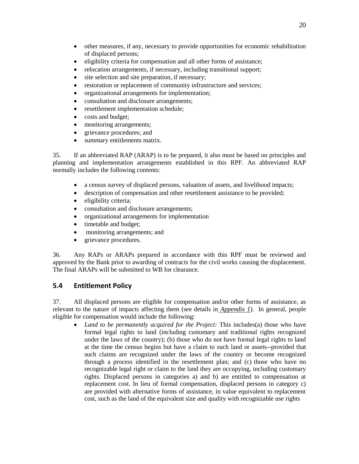- other measures, if any, necessary to provide opportunities for economic rehabilitation of displaced persons;
- eligibility criteria for compensation and all other forms of assistance;
- relocation arrangements, if necessary, including transitional support;
- site selection and site preparation, if necessary;
- restoration or replacement of community infrastructure and services;
- organizational arrangements for implementation;
- consultation and disclosure arrangements;
- resettlement implementation schedule;
- costs and budget;
- monitoring arrangements;
- grievance procedures; and
- summary entitlements matrix.

35. If an abbreviated RAP (ARAP) is to be prepared, it also must be based on principles and planning and implementation arrangements established in this RPF. An abbreviated RAP normally includes the following contents:

- a census survey of displaced persons, valuation of assets, and livelihood impacts;
- description of compensation and other resettlement assistance to be provided;
- eligibility criteria;
- consultation and disclosure arrangements;
- organizational arrangements for implementation
- timetable and budget;
- monitoring arrangements; and
- grievance procedures.

36. Any RAPs or ARAPs prepared in accordance with this RPF must be reviewed and approved by the Bank prior to awarding of contracts for the civil works causing the displacement. The final ARAPs will be submitted to WB for clearance.

### **5.4 Entitlement Policy**

37. All displaced persons are eligible for compensation and/or other forms of assistance, as relevant to the nature of impacts affecting them (see details in *Appendix 1*). In general, people eligible for compensation would include the following:

• Land to be permanently acquired for the Project: This includes(a) those who have formal legal rights to land (including customary and traditional rights recognized under the laws of the country); (b) those who do not have formal legal rights to land at the time the census begins but have a claim to such land or assets--provided that such claims are recognized under the laws of the country or become recognized through a process identified in the resettlement plan; and (c) those who have no recognizable legal right or claim to the land they are occupying, including customary rights. Displaced persons in categories a) and b) are entitled to compensation at replacement cost. In lieu of formal compensation, displaced persons in category c) are provided with alternative forms of assistance, in value equivalent to replacement cost, such as the land of the equivalent size and quality with recognizable use rights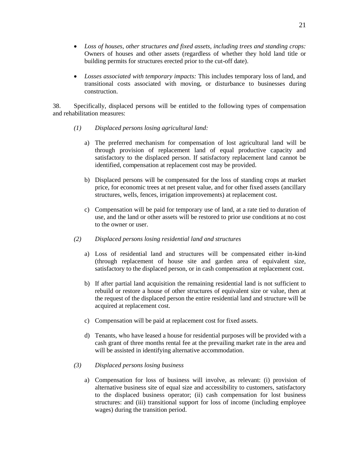- *Loss of houses, other structures and fixed assets, including trees and standing crops:*  Owners of houses and other assets (regardless of whether they hold land title or building permits for structures erected prior to the cut-off date).
- *Losses associated with temporary impacts:* This includes temporary loss of land, and transitional costs associated with moving, or disturbance to businesses during construction.

38. Specifically, displaced persons will be entitled to the following types of compensation and rehabilitation measures:

#### *(1) Displaced persons losing agricultural land:*

- a) The preferred mechanism for compensation of lost agricultural land will be through provision of replacement land of equal productive capacity and satisfactory to the displaced person. If satisfactory replacement land cannot be identified, compensation at replacement cost may be provided.
- b) Displaced persons will be compensated for the loss of standing crops at market price, for economic trees at net present value, and for other fixed assets (ancillary structures, wells, fences, irrigation improvements) at replacement cost.
- c) Compensation will be paid for temporary use of land, at a rate tied to duration of use, and the land or other assets will be restored to prior use conditions at no cost to the owner or user.
- *(2) Displaced persons losing residential land and structures*
	- a) Loss of residential land and structures will be compensated either in-kind (through replacement of house site and garden area of equivalent size, satisfactory to the displaced person, or in cash compensation at replacement cost.
	- b) If after partial land acquisition the remaining residential land is not sufficient to rebuild or restore a house of other structures of equivalent size or value, then at the request of the displaced person the entire residential land and structure will be acquired at replacement cost.
	- c) Compensation will be paid at replacement cost for fixed assets.
	- d) Tenants, who have leased a house for residential purposes will be provided with a cash grant of three months rental fee at the prevailing market rate in the area and will be assisted in identifying alternative accommodation.
- *(3) Displaced persons losing business*
	- a) Compensation for loss of business will involve, as relevant: (i) provision of alternative business site of equal size and accessibility to customers, satisfactory to the displaced business operator; (ii) cash compensation for lost business structures: and (iii) transitional support for loss of income (including employee wages) during the transition period.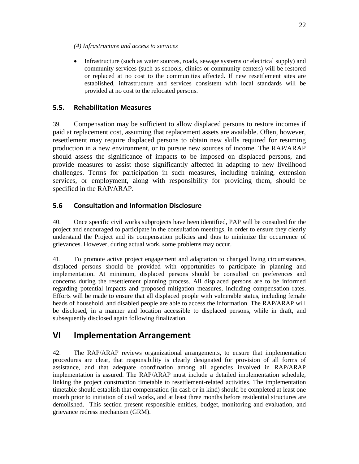### *(4) Infrastructure and access to services*

• Infrastructure (such as water sources, roads, sewage systems or electrical supply) and community services (such as schools, clinics or community centers) will be restored or replaced at no cost to the communities affected. If new resettlement sites are established, infrastructure and services consistent with local standards will be provided at no cost to the relocated persons.

## **5.5. Rehabilitation Measures**

39. Compensation may be sufficient to allow displaced persons to restore incomes if paid at replacement cost, assuming that replacement assets are available. Often, however, resettlement may require displaced persons to obtain new skills required for resuming production in a new environment, or to pursue new sources of income. The RAP/ARAP should assess the significance of impacts to be imposed on displaced persons, and provide measures to assist those significantly affected in adapting to new livelihood challenges. Terms for participation in such measures, including training, extension services, or employment, along with responsibility for providing them, should be specified in the RAP/ARAP.

## **5.6 Consultation and Information Disclosure**

40. Once specific civil works subprojects have been identified, PAP will be consulted for the project and encouraged to participate in the consultation meetings, in order to ensure they clearly understand the Project and its compensation policies and thus to minimize the occurrence of grievances. However, during actual work, some problems may occur.

41. To promote active project engagement and adaptation to changed living circumstances, displaced persons should be provided with opportunities to participate in planning and implementation. At minimum, displaced persons should be consulted on preferences and concerns during the resettlement planning process. All displaced persons are to be informed regarding potential impacts and proposed mitigation measures, including compensation rates. Efforts will be made to ensure that all displaced people with vulnerable status, including female heads of household, and disabled people are able to access the information. The RAP/ARAP will be disclosed, in a manner and location accessible to displaced persons, while in draft, and subsequently disclosed again following finalization.

## **VI Implementation Arrangement**

42. The RAP/ARAP reviews organizational arrangements, to ensure that implementation procedures are clear, that responsibility is clearly designated for provision of all forms of assistance, and that adequate coordination among all agencies involved in RAP/ARAP implementation is assured. The RAP/ARAP must include a detailed implementation schedule, linking the project construction timetable to resettlement-related activities. The implementation timetable should establish that compensation (in cash or in kind) should be completed at least one month prior to initiation of civil works, and at least three months before residential structures are demolished. This section present responsible entities, budget, monitoring and evaluation, and grievance redress mechanism (GRM).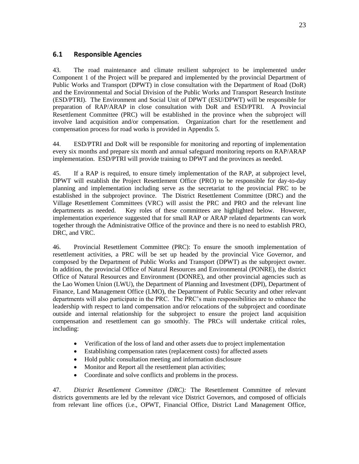### **6.1 Responsible Agencies**

43. The road maintenance and climate resilient subproject to be implemented under Component 1 of the Project will be prepared and implemented by the provincial Department of Public Works and Transport (DPWT) in close consultation with the Department of Road (DoR) and the Environmental and Social Division of the Public Works and Transport Research Institute (ESD/PTRI). The Environment and Social Unit of DPWT (ESU/DPWT) will be responsible for preparation of RAP/ARAP in close consultation with DoR and ESD/PTRI. A Provincial Resettlement Committee (PRC) will be established in the province when the subproject will involve land acquisition and/or compensation. Organization chart for the resettlement and compensation process for road works is provided in Appendix 5.

44. ESD/PTRI and DoR will be responsible for monitoring and reporting of implementation every six months and prepare six month and annual safeguard monitoring reports on RAP/ARAP implementation. ESD/PTRI will provide training to DPWT and the provinces as needed.

45. If a RAP is required, to ensure timely implementation of the RAP, at subproject level, DPWT will establish the Project Resettlement Office (PRO) to be responsible for day-to-day planning and implementation including serve as the secretariat to the provincial PRC to be established in the subproject province. The District Resettlement Committee (DRC) and the Village Resettlement Committees (VRC) will assist the PRC and PRO and the relevant line departments as needed. Key roles of these committees are highlighted below. However, implementation experience suggested that for small RAP or ARAP related departments can work together through the Administrative Office of the province and there is no need to establish PRO, DRC, and VRC.

46. Provincial Resettlement Committee (PRC): To ensure the smooth implementation of resettlement activities, a PRC will be set up headed by the provincial Vice Governor, and composed by the Department of Public Works and Transport (DPWT) as the subproject owner. In addition, the provincial Office of Natural Resources and Environmental (PONRE), the district Office of Natural Resources and Environment (DONRE), and other provincial agencies such as the Lao Women Union (LWU), the Department of Planning and Investment (DPI), Department of Finance, Land Management Office (LMO), the Department of Public Security and other relevant departments will also participate in the PRC. The PRC's main responsibilities are to enhance the leadership with respect to land compensation and/or relocations of the subproject and coordinate outside and internal relationship for the subproject to ensure the project land acquisition compensation and resettlement can go smoothly. The PRCs will undertake critical roles, including:

- Verification of the loss of land and other assets due to project implementation
- Establishing compensation rates (replacement costs) for affected assets
- Hold public consultation meeting and information disclosure
- Monitor and Report all the resettlement plan activities;
- Coordinate and solve conflicts and problems in the process.

47. *District Resettlement Committee (DRC):* The Resettlement Committee of relevant districts governments are led by the relevant vice District Governors, and composed of officials from relevant line offices (i.e., OPWT, Financial Office, District Land Management Office,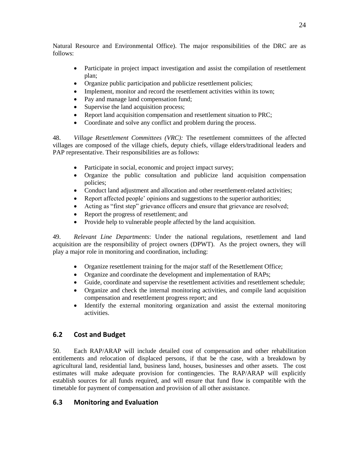Natural Resource and Environmental Office). The major responsibilities of the DRC are as follows:

- Participate in project impact investigation and assist the compilation of resettlement plan;
- Organize public participation and publicize resettlement policies;
- Implement, monitor and record the resettlement activities within its town;
- Pay and manage land compensation fund;
- Supervise the land acquisition process;
- Report land acquisition compensation and resettlement situation to PRC;
- Coordinate and solve any conflict and problem during the process.

48. *Village Resettlement Committees (VRC):* The resettlement committees of the affected villages are composed of the village chiefs, deputy chiefs, village elders/traditional leaders and PAP representative. Their responsibilities are as follows:

- Participate in social, economic and project impact survey;
- Organize the public consultation and publicize land acquisition compensation policies;
- Conduct land adjustment and allocation and other resettlement-related activities;
- Report affected people' opinions and suggestions to the superior authorities;
- Acting as "first step" grievance officers and ensure that grievance are resolved;
- Report the progress of resettlement; and
- Provide help to vulnerable people affected by the land acquisition.

49. *Relevant Line Departments*: Under the national regulations, resettlement and land acquisition are the responsibility of project owners (DPWT). As the project owners, they will play a major role in monitoring and coordination, including:

- Organize resettlement training for the major staff of the Resettlement Office;
- Organize and coordinate the development and implementation of RAPs;
- Guide, coordinate and supervise the resettlement activities and resettlement schedule;
- Organize and check the internal monitoring activities, and compile land acquisition compensation and resettlement progress report; and
- Identify the external monitoring organization and assist the external monitoring activities.

## **6.2 Cost and Budget**

50. Each RAP/ARAP will include detailed cost of compensation and other rehabilitation entitlements and relocation of displaced persons, if that be the case, with a breakdown by agricultural land, residential land, business land, houses, businesses and other assets. The cost estimates will make adequate provision for contingencies. The RAP/ARAP will explicitly establish sources for all funds required, and will ensure that fund flow is compatible with the timetable for payment of compensation and provision of all other assistance.

## **6.3 Monitoring and Evaluation**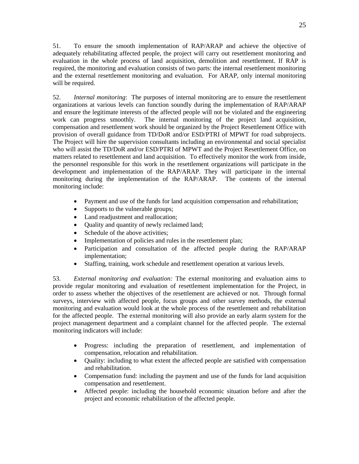51. To ensure the smooth implementation of RAP/ARAP and achieve the objective of adequately rehabilitating affected people, the project will carry out resettlement monitoring and evaluation in the whole process of land acquisition, demolition and resettlement. If RAP is required, the monitoring and evaluation consists of two parts: the internal resettlement monitoring and the external resettlement monitoring and evaluation. For ARAP, only internal monitoring will be required.

52. *Internal monitoring*: The purposes of internal monitoring are to ensure the resettlement organizations at various levels can function soundly during the implementation of RAP/ARAP and ensure the legitimate interests of the affected people will not be violated and the engineering work can progress smoothly. The internal monitoring of the project land acquisition, compensation and resettlement work should be organized by the Project Resettlement Office with provision of overall guidance from TD/DoR and/or ESD/PTRI of MPWT for road subprojects. The Project will hire the supervision consultants including an environmental and social specialist who will assist the TD/DoR and/or ESD/PTRI of MPWT and the Project Resettlement Office, on matters related to resettlement and land acquisition. To effectively monitor the work from inside, the personnel responsible for this work in the resettlement organizations will participate in the development and implementation of the RAP/ARAP. They will participate in the internal monitoring during the implementation of the RAP/ARAP. The contents of the internal monitoring include:

- Payment and use of the funds for land acquisition compensation and rehabilitation;
- Supports to the vulnerable groups;
- Land readjustment and reallocation;
- Quality and quantity of newly reclaimed land;
- Schedule of the above activities;
- Implementation of policies and rules in the resettlement plan;
- Participation and consultation of the affected people during the RAP/ARAP implementation;
- Staffing, training, work schedule and resettlement operation at various levels.

53. *External monitoring and evaluation:* The external monitoring and evaluation aims to provide regular monitoring and evaluation of resettlement implementation for the Project, in order to assess whether the objectives of the resettlement are achieved or not. Through formal surveys, interview with affected people, focus groups and other survey methods, the external monitoring and evaluation would look at the whole process of the resettlement and rehabilitation for the affected people. The external monitoring will also provide an early alarm system for the project management department and a complaint channel for the affected people. The external monitoring indicators will include:

- Progress: including the preparation of resettlement, and implementation of compensation, relocation and rehabilitation.
- Quality: including to what extent the affected people are satisfied with compensation and rehabilitation.
- Compensation fund: including the payment and use of the funds for land acquisition compensation and resettlement.
- Affected people: including the household economic situation before and after the project and economic rehabilitation of the affected people.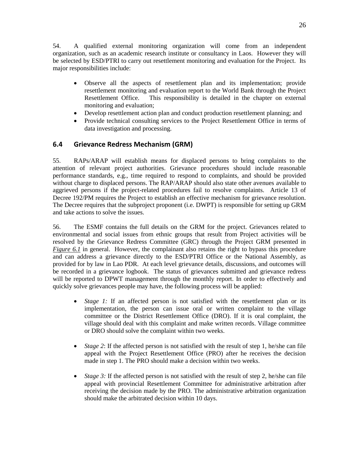54. A qualified external monitoring organization will come from an independent organization, such as an academic research institute or consultancy in Laos. However they will be selected by ESD/PTRI to carry out resettlement monitoring and evaluation for the Project. Its major responsibilities include:

- Observe all the aspects of resettlement plan and its implementation; provide resettlement monitoring and evaluation report to the World Bank through the Project Resettlement Office. This responsibility is detailed in the chapter on external monitoring and evaluation;
- Develop resettlement action plan and conduct production resettlement planning; and
- Provide technical consulting services to the Project Resettlement Office in terms of data investigation and processing.

## **6.4 Grievance Redress Mechanism (GRM)**

55. RAPs/ARAP will establish means for displaced persons to bring complaints to the attention of relevant project authorities. Grievance procedures should include reasonable performance standards, e.g., time required to respond to complaints, and should be provided without charge to displaced persons. The RAP/ARAP should also state other avenues available to aggrieved persons if the project-related procedures fail to resolve complaints. Article 13 of Decree 192/PM requires the Project to establish an effective mechanism for grievance resolution. The Decree requires that the subproject proponent (i.e. DWPT) is responsible for setting up GRM and take actions to solve the issues.

56. The ESMF contains the full details on the GRM for the project. Grievances related to environmental and social issues from ethnic groups that result from Project activities will be resolved by the Grievance Redress Committee (GRC) through the Project GRM presented in *Figure 6.1* in general. However, the complainant also retains the right to bypass this procedure and can address a grievance directly to the ESD/PTRI Office or the National Assembly, as provided for by law in Lao PDR. At each level grievance details, discussions, and outcomes will be recorded in a grievance logbook. The status of grievances submitted and grievance redress will be reported to DPWT management through the monthly report. In order to effectively and quickly solve grievances people may have, the following process will be applied:

- *Stage 1:* If an affected person is not satisfied with the resettlement plan or its implementation, the person can issue oral or written complaint to the village committee or the District Resettlement Office (DRO). If it is oral complaint, the village should deal with this complaint and make written records. Village committee or DRO should solve the complaint within two weeks.
- *Stage 2*: If the affected person is not satisfied with the result of step 1, he/she can file appeal with the Project Resettlement Office (PRO) after he receives the decision made in step 1. The PRO should make a decision within two weeks.
- *Stage* 3: If the affected person is not satisfied with the result of step 2, he/she can file appeal with provincial Resettlement Committee for administrative arbitration after receiving the decision made by the PRO. The administrative arbitration organization should make the arbitrated decision within 10 days.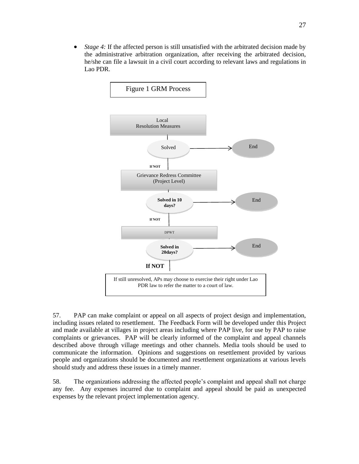• *Stage 4:* If the affected person is still unsatisfied with the arbitrated decision made by the administrative arbitration organization, after receiving the arbitrated decision, he/she can file a lawsuit in a civil court according to relevant laws and regulations in Lao PDR.



57. PAP can make complaint or appeal on all aspects of project design and implementation, including issues related to resettlement. The Feedback Form will be developed under this Project and made available at villages in project areas including where PAP live, for use by PAP to raise complaints or grievances. PAP will be clearly informed of the complaint and appeal channels described above through village meetings and other channels. Media tools should be used to communicate the information. Opinions and suggestions on resettlement provided by various people and organizations should be documented and resettlement organizations at various levels should study and address these issues in a timely manner.

58. The organizations addressing the affected people's complaint and appeal shall not charge any fee. Any expenses incurred due to complaint and appeal should be paid as unexpected expenses by the relevant project implementation agency.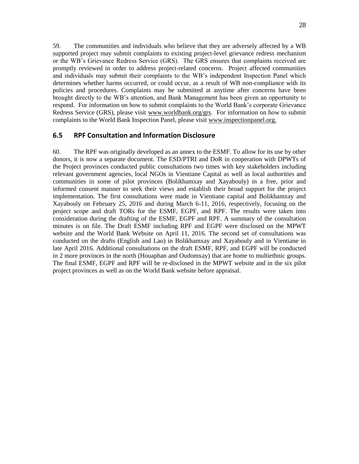59. The communities and individuals who believe that they are adversely affected by a WB supported project may submit complaints to existing project-level grievance redress mechanism or the WB's Grievance Redress Service (GRS). The GRS ensures that complaints received are promptly reviewed in order to address project-related concerns. Project affected communities and individuals may submit their complaints to the WB's independent Inspection Panel which determines whether harms occurred, or could occur, as a result of WB non-compliance with its policies and procedures. Complaints may be submitted at anytime after concerns have been brought directly to the WB's attention, and Bank Management has been given an opportunity to respond. For information on how to submit complaints to the World Bank's corporate Grievance Redress Service (GRS), please visit [www.worldbank.org/grs.](http://www.worldbank.org/grs) For information on how to submit complaints to the World Bank Inspection Panel, please visit www.inspectionpanel.org.

### **6.5 RPF Consultation and Information Disclosure**

60. The RPF was originally developed as an annex to the ESMF. To allow for its use by other donors, it is now a separate document. The ESD/PTRI and DoR in cooperation with DPWTs of the Project provinces conducted public consultations two times with key stakeholders including relevant government agencies, local NGOs in Vientiane Capital as well as local authorities and communities in some of pilot provinces (Bolikhamxay and Xayabouly) in a free, prior and informed consent manner to seek their views and establish their broad support for the project implementation. The first consultations were made in Vientiane capital and Bolikhamxay and Xayabouly on February 25, 2016 and during March 6-11, 2016, respectively, focusing on the project scope and draft TORs for the ESMF, EGPF, and RPF. The results were taken into consideration during the drafting of the ESMF, EGPF and RPF. A summary of the consultation minutes is on file. The Draft ESMF including RPF and EGPF were disclosed on the MPWT website and the World Bank Website on April 11, 2016. The second set of consultations was conducted on the drafts (English and Lao) in Bolikhamxay and Xayabouly and in Vientiane in late April 2016. Additional consultations on the draft ESMF, RPF, and EGPF will be conducted in 2 more provinces in the north (Houaphan and Oudomxay) that are home to multiethnic groups. The final ESMF, EGPF and RPF will be re-disclosed in the MPWT website and in the six pilot project provinces as well as on the World Bank website before appraisal.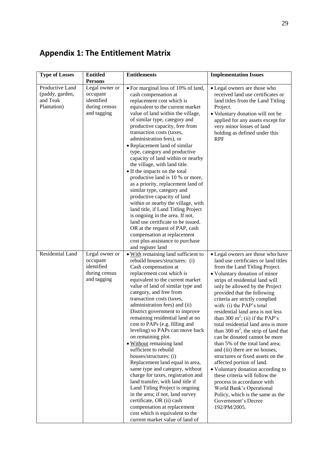# **Appendix 1: The Entitlement Matrix**

| <b>Type of Losses</b>                                         | <b>Entitled</b>                                                          | <b>Entitlements</b>                                                                                                                                                                                                                                                                                                                                                                                                                                                                                                                                                                                                                                                                                                                                                                                                                                                                                    | <b>Implementation Issues</b>                                                                                                                                                                                                                                                                                                                                                                                                                                                                                                                                                                                                                                                                                                                                                                                                                                     |
|---------------------------------------------------------------|--------------------------------------------------------------------------|--------------------------------------------------------------------------------------------------------------------------------------------------------------------------------------------------------------------------------------------------------------------------------------------------------------------------------------------------------------------------------------------------------------------------------------------------------------------------------------------------------------------------------------------------------------------------------------------------------------------------------------------------------------------------------------------------------------------------------------------------------------------------------------------------------------------------------------------------------------------------------------------------------|------------------------------------------------------------------------------------------------------------------------------------------------------------------------------------------------------------------------------------------------------------------------------------------------------------------------------------------------------------------------------------------------------------------------------------------------------------------------------------------------------------------------------------------------------------------------------------------------------------------------------------------------------------------------------------------------------------------------------------------------------------------------------------------------------------------------------------------------------------------|
|                                                               | <b>Persons</b>                                                           |                                                                                                                                                                                                                                                                                                                                                                                                                                                                                                                                                                                                                                                                                                                                                                                                                                                                                                        |                                                                                                                                                                                                                                                                                                                                                                                                                                                                                                                                                                                                                                                                                                                                                                                                                                                                  |
| Productive Land<br>(paddy, garden,<br>and Teak<br>Plantation) | Legal owner or<br>occupant<br>identified<br>during census<br>and tagging | • For marginal loss of 10% of land,<br>cash compensation at<br>replacement cost which is<br>equivalent to the current market<br>value of land within the village,<br>of similar type, category and<br>productive capacity, free from<br>transaction costs (taxes,<br>administration fees), or<br>• Replacement land of similar<br>type, category and productive<br>capacity of land within or nearby<br>the village, with land title.<br>• If the impacts on the total<br>productive land is 10 % or more,<br>as a priority, replacement land of<br>similar type, category and<br>productive capacity of land<br>within or nearby the village, with<br>land title, if Land Titling Project<br>is ongoing in the area. If not,<br>land use certificate to be issued.<br>OR at the request of PAP, cash<br>compensation at replacement<br>cost plus assistance to purchase<br>and register land          | • Legal owners are those who<br>received land use certificates or<br>land titles from the Land Titling<br>Project.<br>• Voluntary donation will not be<br>applied for any assets except for<br>very minor losses of land<br>holding as defined under this<br><b>RPF</b>                                                                                                                                                                                                                                                                                                                                                                                                                                                                                                                                                                                          |
| Residential Land                                              | Legal owner or<br>occupant<br>identified<br>during census<br>and tagging | • With remaining land sufficient to<br>rebuild houses/structures: (i)<br>Cash compensation at<br>replacement cost which is<br>equivalent to the current market<br>value of land of similar type and<br>category, and free from<br>transaction costs (taxes,<br>administration fees) and (ii)<br>District government to improve<br>remaining residential land at no<br>cost to PAPs (e.g. filling and<br>leveling) so PAPs can move back<br>on remaining plot.<br>• Without remaining land<br>sufficient to rebuild<br>houses/structures: (i)<br>Replacement land equal in area,<br>same type and category, without<br>charge for taxes, registration and<br>land transfer, with land title if<br>Land Titling Project is ongoing<br>in the area; if not, land survey<br>certificate, OR (ii) cash<br>compensation at replacement<br>cost which is equivalent to the<br>current market value of land of | • Legal owners are those who have<br>land use certificates or land titles<br>from the Land Titling Project.<br>• Voluntary donation of minor<br>strips of residential land will<br>only be allowed by the Project<br>provided that the following<br>criteria are strictly complied<br>with: (i) the PAP's total<br>residential land area is not less<br>than 300 $m^2$ ; (ii) if the PAP's<br>total residential land area is more<br>than 300 $m^2$ , the strip of land that<br>can be donated cannot be more<br>than 5% of the total land area;<br>and (iii) there are no houses,<br>structures or fixed assets on the<br>affected portion of land.<br>• Voluntary donation according to<br>these criteria will follow the<br>process in accordance with<br>World Bank's Operational<br>Policy, which is the same as the<br>Government's Decree<br>192/PM/2005. |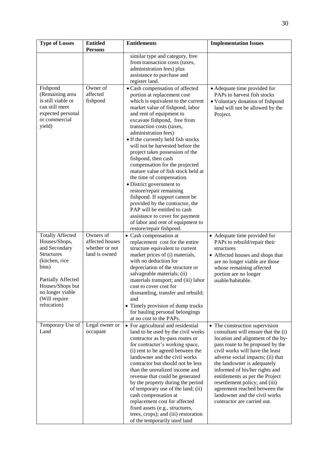| <b>Type of Losses</b>                                                                                                                                                                                   | <b>Entitled</b><br><b>Persons</b>                               | <b>Entitlements</b>                                                                                                                                                                                                                                                                                                                                                                                                                                                                                                                                                                                                                                                                                                                                                 | <b>Implementation Issues</b>                                                                                                                                                                                                                                                                                                                                                                                                                                  |
|---------------------------------------------------------------------------------------------------------------------------------------------------------------------------------------------------------|-----------------------------------------------------------------|---------------------------------------------------------------------------------------------------------------------------------------------------------------------------------------------------------------------------------------------------------------------------------------------------------------------------------------------------------------------------------------------------------------------------------------------------------------------------------------------------------------------------------------------------------------------------------------------------------------------------------------------------------------------------------------------------------------------------------------------------------------------|---------------------------------------------------------------------------------------------------------------------------------------------------------------------------------------------------------------------------------------------------------------------------------------------------------------------------------------------------------------------------------------------------------------------------------------------------------------|
|                                                                                                                                                                                                         |                                                                 | similar type and category, free<br>from transaction costs (taxes,<br>administration fees) plus<br>assistance to purchase and<br>register land.                                                                                                                                                                                                                                                                                                                                                                                                                                                                                                                                                                                                                      |                                                                                                                                                                                                                                                                                                                                                                                                                                                               |
| Fishpond<br>(Remaining area<br>is still viable or<br>can still meet<br>expected personal<br>or commercial<br>yield)                                                                                     | Owner of<br>affected<br>fishpond                                | · Cash compensation of affected<br>portion at replacement cost<br>which is equivalent to the current<br>market value of fishpond, labor<br>and rent of equipment to<br>excavate fishpond, free from<br>transaction costs (taxes,<br>administration fees)<br>• If the currently held fish stocks<br>will not be harvested before the<br>project takes possession of the<br>fishpond, then cash<br>compensation for the projected<br>mature value of fish stock held at<br>the time of compensation.<br>· District government to<br>restore/repair remaining<br>fishpond. If support cannot be<br>provided by the contractor, the<br>PAP will be entitled to cash<br>assistance to cover for payment<br>of labor and rent of equipment to<br>restore/repair fishpond. | • Adequate time provided for<br>PAPs to harvest fish stocks<br>• Voluntary donation of fishpond<br>land will not be allowed by the<br>Project.                                                                                                                                                                                                                                                                                                                |
| <b>Totally Affected</b><br>Houses/Shops,<br>and Secondary<br><b>Structures</b><br>(kitchen, rice<br>bins)<br>Partially Affected<br>Houses/Shops but<br>no longer viable<br>(Will require<br>relocation) | Owners of<br>affected houses<br>whether or not<br>land is owned | • Cash compensation at<br>replacement cost for the entire<br>structure equivalent to current<br>market prices of (i) materials,<br>with no deduction for<br>depreciation of the structure or<br>salvageable materials; (ii)<br>materials transport; and (iii) labor<br>cost to cover cost for<br>dismantling, transfer and rebuild;<br>and<br>• Timely provision of dump trucks<br>for hauling personal belongings<br>at no cost to the PAPs.                                                                                                                                                                                                                                                                                                                       | • Adequate time provided for<br>PAPs to rebuild/repair their<br>structures<br>• Affected houses and shops that<br>are no longer viable are those<br>whose remaining affected<br>portion are no longer<br>usable/habitable.                                                                                                                                                                                                                                    |
| Temporary Use of<br>Land                                                                                                                                                                                | Legal owner or<br>occupant                                      | • For agricultural and residential<br>land to be used by the civil works<br>contractor as by-pass routes or<br>for contractor's working space,<br>(i) rent to be agreed between the<br>landowner and the civil works<br>contractor but should not be less<br>than the unrealized income and<br>revenue that could be generated<br>by the property during the period<br>of temporary use of the land; (ii)<br>cash compensation at<br>replacement cost for affected<br>fixed assets (e.g., structures,<br>trees, crops); and (iii) restoration<br>of the temporarily used land                                                                                                                                                                                       | • The construction supervision<br>consultant will ensure that the (i)<br>location and alignment of the by-<br>pass route to be proposed by the<br>civil works will have the least<br>adverse social impacts; (ii) that<br>the landowner is adequately<br>informed of his/her rights and<br>entitlements as per the Project<br>resettlement policy; and (iii)<br>agreement reached between the<br>landowner and the civil works<br>contractor are carried out. |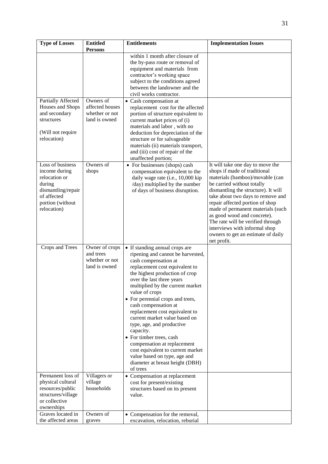| <b>Type of Losses</b>                                                                                                                | <b>Entitled</b><br><b>Persons</b>                               | <b>Entitlements</b>                                                                                                                                                                                                                                                                                                                                                                                                                                                                                                                                                                                        | <b>Implementation Issues</b>                                                                                                                                                                                                                                                                                                                                                                                                                    |
|--------------------------------------------------------------------------------------------------------------------------------------|-----------------------------------------------------------------|------------------------------------------------------------------------------------------------------------------------------------------------------------------------------------------------------------------------------------------------------------------------------------------------------------------------------------------------------------------------------------------------------------------------------------------------------------------------------------------------------------------------------------------------------------------------------------------------------------|-------------------------------------------------------------------------------------------------------------------------------------------------------------------------------------------------------------------------------------------------------------------------------------------------------------------------------------------------------------------------------------------------------------------------------------------------|
|                                                                                                                                      |                                                                 | within 1 month after closure of<br>the by-pass route or removal of<br>equipment and materials from<br>contractor's working space<br>subject to the conditions agreed<br>between the landowner and the<br>civil works contractor.                                                                                                                                                                                                                                                                                                                                                                           |                                                                                                                                                                                                                                                                                                                                                                                                                                                 |
| Partially Affected<br>Houses and Shops<br>and secondary<br>structures<br>(Will not require<br>relocation)                            | Owners of<br>affected houses<br>whether or not<br>land is owned | • Cash compensation at<br>replacement cost for the affected<br>portion of structure equivalent to<br>current market prices of (i)<br>materials and labor, with no<br>deduction for depreciation of the<br>structure or for salvageable<br>materials (ii) materials transport,<br>and (iii) cost of repair of the<br>unaffected portion;                                                                                                                                                                                                                                                                    |                                                                                                                                                                                                                                                                                                                                                                                                                                                 |
| Loss of business<br>income during<br>relocation or<br>during<br>dismantling/repair<br>of affected<br>portion (without<br>relocation) | Owners of<br>shops                                              | • For businesses (shops) cash<br>compensation equivalent to the<br>daily wage rate (i.e., 10,000 kip<br>/day) multiplied by the number<br>of days of business disruption.                                                                                                                                                                                                                                                                                                                                                                                                                                  | It will take one day to move the<br>shops if made of traditional<br>materials (bamboo)/movable (can<br>be carried without totally<br>dismantling the structure). It will<br>take about two days to remove and<br>repair affected portion of shop<br>made of permanent materials (such<br>as good wood and concrete).<br>The rate will be verified through<br>interviews with informal shop<br>owners to get an estimate of daily<br>net profit. |
| Crops and Trees                                                                                                                      | Owner of crops<br>and trees<br>whether or not<br>land is owned  | • If standing annual crops are<br>ripening and cannot be harvested,<br>cash compensation at<br>replacement cost equivalent to<br>the highest production of crop<br>over the last three years<br>multiplied by the current market<br>value of crops<br>• For perennial crops and trees,<br>cash compensation at<br>replacement cost equivalent to<br>current market value based on<br>type, age, and productive<br>capacity.<br>• For timber trees, cash<br>compensation at replacement<br>cost equivalent to current market<br>value based on type, age and<br>diameter at breast height (DBH)<br>of trees |                                                                                                                                                                                                                                                                                                                                                                                                                                                 |
| Permanent loss of<br>physical cultural<br>resources/public<br>structures/village<br>or collective                                    | Villagers or<br>village<br>households                           | • Compensation at replacement<br>cost for present/existing<br>structures based on its present<br>value.                                                                                                                                                                                                                                                                                                                                                                                                                                                                                                    |                                                                                                                                                                                                                                                                                                                                                                                                                                                 |
| ownerships<br>Graves located in<br>the affected areas                                                                                | Owners of<br>graves                                             | • Compensation for the removal,<br>excavation, relocation, reburial                                                                                                                                                                                                                                                                                                                                                                                                                                                                                                                                        |                                                                                                                                                                                                                                                                                                                                                                                                                                                 |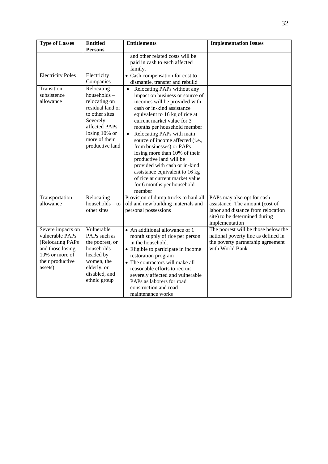| <b>Type of Losses</b>                                                                                                         | <b>Entitled</b>                                                                                                                                                    | <b>Entitlements</b>                                                                                                                                                                                                                                                                                                                                                                                                                                                                                                                                           | <b>Implementation Issues</b>                                                                                                                           |
|-------------------------------------------------------------------------------------------------------------------------------|--------------------------------------------------------------------------------------------------------------------------------------------------------------------|---------------------------------------------------------------------------------------------------------------------------------------------------------------------------------------------------------------------------------------------------------------------------------------------------------------------------------------------------------------------------------------------------------------------------------------------------------------------------------------------------------------------------------------------------------------|--------------------------------------------------------------------------------------------------------------------------------------------------------|
|                                                                                                                               | <b>Persons</b>                                                                                                                                                     |                                                                                                                                                                                                                                                                                                                                                                                                                                                                                                                                                               |                                                                                                                                                        |
|                                                                                                                               |                                                                                                                                                                    | and other related costs will be<br>paid in cash to each affected<br>family.                                                                                                                                                                                                                                                                                                                                                                                                                                                                                   |                                                                                                                                                        |
| <b>Electricity Poles</b>                                                                                                      | Electricity<br>Companies                                                                                                                                           | • Cash compensation for cost to<br>dismantle, transfer and rebuild                                                                                                                                                                                                                                                                                                                                                                                                                                                                                            |                                                                                                                                                        |
| Transition<br>subsistence<br>allowance                                                                                        | Relocating<br>households-<br>relocating on<br>residual land or<br>to other sites<br>Severely<br>affected PAPs<br>losing 10% or<br>more of their<br>productive land | Relocating PAPs without any<br>$\bullet$<br>impact on business or source of<br>incomes will be provided with<br>cash or in-kind assistance<br>equivalent to 16 kg of rice at<br>current market value for 3<br>months per household member<br>Relocating PAPs with main<br>$\bullet$<br>source of income affected (i.e.,<br>from businesses) or PAPs<br>losing more than 10% of their<br>productive land will be<br>provided with cash or in-kind<br>assistance equivalent to 16 kg<br>of rice at current market value<br>for 6 months per household<br>member |                                                                                                                                                        |
| Transportation<br>allowance                                                                                                   | Relocating<br>households $-$ to<br>other sites                                                                                                                     | Provision of dump trucks to haul all<br>old and new building materials and<br>personal possessions                                                                                                                                                                                                                                                                                                                                                                                                                                                            | PAPs may also opt for cash<br>assistance. The amount (cost of<br>labor and distance from relocation<br>site) to be determined during<br>implementation |
| Severe impacts on<br>vulnerable PAPs<br>(Relocating PAPs<br>and those losing<br>10% or more of<br>their productive<br>assets) | Vulnerable<br>PAPs such as<br>the poorest, or<br>households<br>headed by<br>women, the<br>elderly, or<br>disabled, and<br>ethnic group                             | • An additional allowance of 1<br>month supply of rice per person<br>in the household.<br>• Eligible to participate in income<br>restoration program<br>• The contractors will make all<br>reasonable efforts to recruit<br>severely affected and vulnerable<br>PAPs as laborers for road<br>construction and road<br>maintenance works                                                                                                                                                                                                                       | The poorest will be those below the<br>national poverty line as defined in<br>the poverty partnership agreement<br>with World Bank                     |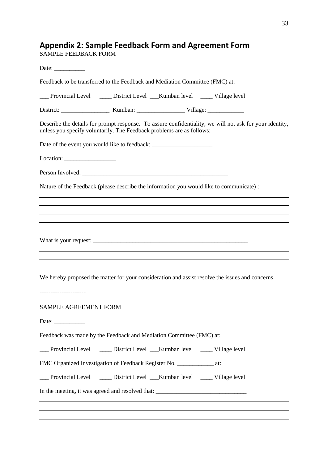## **Appendix 2: Sample Feedback Form and Agreement Form**

SAMPLE FEEDBACK FORM

| __ Provincial Level _____ District Level ____Kumban level _____ Village level                                       |  |                                                                                                         |
|---------------------------------------------------------------------------------------------------------------------|--|---------------------------------------------------------------------------------------------------------|
|                                                                                                                     |  |                                                                                                         |
| unless you specify voluntarily. The Feedback problems are as follows:                                               |  | Describe the details for prompt response. To assure confidentiality, we will not ask for your identity, |
|                                                                                                                     |  |                                                                                                         |
|                                                                                                                     |  |                                                                                                         |
|                                                                                                                     |  |                                                                                                         |
| Nature of the Feedback (please describe the information you would like to communicate) :                            |  |                                                                                                         |
|                                                                                                                     |  |                                                                                                         |
|                                                                                                                     |  |                                                                                                         |
|                                                                                                                     |  |                                                                                                         |
|                                                                                                                     |  | ,我们也不会有什么。""我们的人,我们也不会有什么?""我们的人,我们也不会有什么?""我们的人,我们也不会有什么?""我们的人,我们也不会有什么?""我们的人                        |
|                                                                                                                     |  |                                                                                                         |
|                                                                                                                     |  |                                                                                                         |
|                                                                                                                     |  |                                                                                                         |
|                                                                                                                     |  |                                                                                                         |
|                                                                                                                     |  |                                                                                                         |
|                                                                                                                     |  |                                                                                                         |
|                                                                                                                     |  | We hereby proposed the matter for your consideration and assist resolve the issues and concerns         |
| .                                                                                                                   |  |                                                                                                         |
|                                                                                                                     |  |                                                                                                         |
|                                                                                                                     |  |                                                                                                         |
|                                                                                                                     |  |                                                                                                         |
|                                                                                                                     |  |                                                                                                         |
| <b>SAMPLE AGREEMENT FORM</b><br>Date: $\_\_$<br>Feedback was made by the Feedback and Mediation Committee (FMC) at: |  |                                                                                                         |
| Provincial Level ______ District Level _____Kumban level _______ Village level                                      |  |                                                                                                         |
| FMC Organized Investigation of Feedback Register No. _______________ at:                                            |  |                                                                                                         |
| __ Provincial Level _____ District Level ____Kumban level _____ Village level                                       |  |                                                                                                         |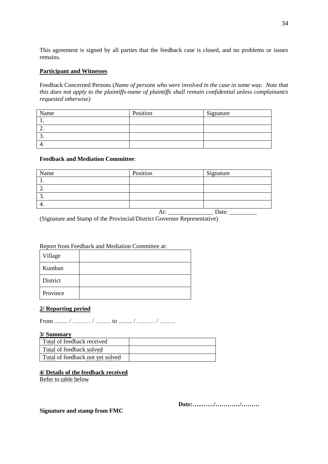This agreement is signed by all parties that the feedback case is closed, and no problems or issues remains.

### **Participant and Witnesses**

Feedback Concerned Persons (*Name of persons who were involved in the case in some way. Note that this does not apply to the plaintiffs-name of plaintiffs shall remain confidential unless complainant/s requested otherwise)*

| Name     | Position | Signature |
|----------|----------|-----------|
|          |          |           |
|          |          |           |
| <u>.</u> |          |           |
| . .      |          |           |

#### **Feedback and Mediation Committee**:

| Name                    | Position | Signature |
|-------------------------|----------|-----------|
|                         |          |           |
| $\sqrt{2}$<br><u>L.</u> |          |           |
| $\bigcap$<br>J.         |          |           |
| 4.                      |          |           |
|                         | ^ + ∙    | Date:     |

(Signature and Stamp of the Provincial/District Governor Representative)

#### Report from Feedback and Mediation Committee at:

| Village  |  |
|----------|--|
| Kumban   |  |
| District |  |
| Province |  |

#### **2/ Reporting period**

From ......... / ……… / ….…. to ......... / ……… / ….….

#### **3/ Summary**

| Total of feedback received       |  |
|----------------------------------|--|
| Total of feedback solved         |  |
| Total of feedback not yet solved |  |

### **4/ Details of the feedback received**

Refer to table below

**Date:…..……/…………/………**

**Signature and stamp from FMC**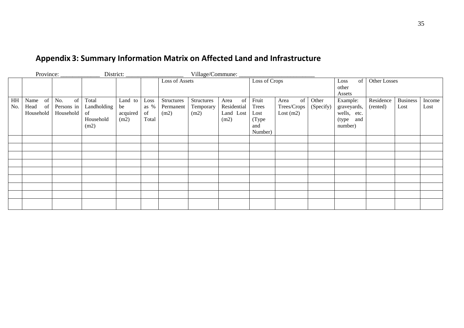# **Appendix 3: Summary Information Matrix on Affected Land and Infrastructure**

|     |            | Village/Commune: _____ |             |          |       |                |            |             |               |             |           |             |              |                 |        |
|-----|------------|------------------------|-------------|----------|-------|----------------|------------|-------------|---------------|-------------|-----------|-------------|--------------|-----------------|--------|
|     |            |                        |             |          |       | Loss of Assets |            |             | Loss of Crops |             |           | of<br>Loss  | Other Losses |                 |        |
|     |            |                        |             |          |       |                |            |             |               |             |           | other       |              |                 |        |
|     |            |                        |             |          |       |                |            |             |               |             |           | Assets      |              |                 |        |
| HH  | of<br>Name | of<br>No.              | Total       | Land to  | Loss  | Structures     | Structures | of<br>Area  | Fruit         | Area        | of Other  | Example:    | Residence    | <b>Business</b> | Income |
| No. | Head<br>of | Persons in             | Landholding | be       | as %  | Permanent      | Temporary  | Residential | Trees         | Trees/Crops | (Specify) | graveyards, | (rented)     | Lost            | Lost   |
|     | Household  | Household              | of          | acquired | of    | (m2)           | (m2)       | Land Lost   | Lost          | Lost $(m2)$ |           | wells, etc. |              |                 |        |
|     |            |                        | Household   | (m2)     | Total |                |            | (m2)        | (Type         |             |           | (type and   |              |                 |        |
|     |            |                        | (m2)        |          |       |                |            |             | and           |             |           | number)     |              |                 |        |
|     |            |                        |             |          |       |                |            |             | Number)       |             |           |             |              |                 |        |
|     |            |                        |             |          |       |                |            |             |               |             |           |             |              |                 |        |
|     |            |                        |             |          |       |                |            |             |               |             |           |             |              |                 |        |
|     |            |                        |             |          |       |                |            |             |               |             |           |             |              |                 |        |
|     |            |                        |             |          |       |                |            |             |               |             |           |             |              |                 |        |
|     |            |                        |             |          |       |                |            |             |               |             |           |             |              |                 |        |
|     |            |                        |             |          |       |                |            |             |               |             |           |             |              |                 |        |
|     |            |                        |             |          |       |                |            |             |               |             |           |             |              |                 |        |
|     |            |                        |             |          |       |                |            |             |               |             |           |             |              |                 |        |
|     |            |                        |             |          |       |                |            |             |               |             |           |             |              |                 |        |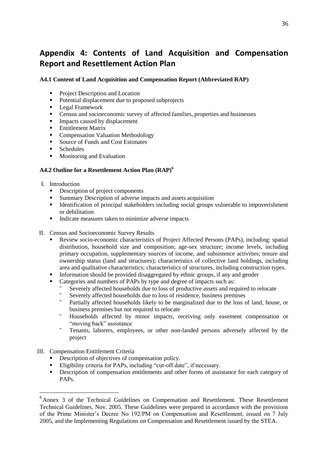## **Appendix 4: Contents of Land Acquisition and Compensation Report and Resettlement Action Plan**

### **A4.1 Content of Land Acquisition and Compensation Report (Abbreviated RAP)**

- **Project Description and Location**
- Potential displacement due to proposed subprojects
- **Legal Framework**
- Census and socioeconomic survey of affected families, properties and businesses
- **Impacts caused by displacement**
- **Entitlement Matrix**
- **•** Compensation Valuation Methodology
- Source of Funds and Cost Estimates
- **Schedules**
- **Monitoring and Evaluation**

### **A4.2 Outline for a Resettlement Action Plan (RAP)<sup>6</sup>**

- I. Introduction
	- Description of project components
	- **Summary Description of adverse impacts and assets acquisition**
	- Identification of principal stakeholders including social groups vulnerable to impoverishment or debilitation
	- **Indicate measures taken to minimize adverse impacts**
- II. Census and Socioeconomic Survey Results
	- Review socio-economic characteristics of Project Affected Persons (PAPs), including: spatial distribution, household size and composition; age-sex structure; income levels, including primary occupation, supplementary sources of income, and subsistence activities; tenure and ownership status (land and structures); characteristics of collective land holdings, including area and qualitative characteristics; characteristics of structures, including construction types.
	- Information should be provided disaggregated by ethnic groups, if any and gender
	- Categories and numbers of PAPs by type and degree of impacts such as:
		- Severely affected households due to loss of productive assets and required to relocate
		- Severely affected households due to loss of residence, business premises
		- Partially affected households likely to be marginalized due to the loss of land, house, or business premises but not required to relocate
		- ‾ Households affected by minor impacts, receiving only easement compensation or "moving back" assistance
		- Tenants, laborers, employees, or other non-landed persons adversely affected by the project
- III. Compensation Entitlement Criteria

1

- Description of objectives of compensation policy.
- Eligibility criteria for PAPs, including "cut-off date", if necessary.
- Description of compensation entitlements and other forms of assistance for each category of PAPs.

 $6$ Annex 3 of the Technical Guidelines on Compensation and Resettlement. These Resettlement Technical Guidelines, Nov. 2005. These Guidelines were prepared in accordance with the provisions of the Prime Minister's Decree No 192/PM on Compensation and Resettlement, issued on 7 July 2005, and the Implementing Regulations on Compensation and Resettlement issued by the STEA.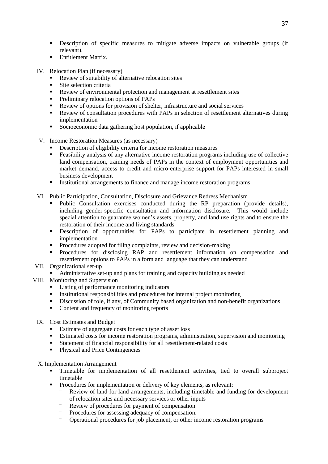- Description of specific measures to mitigate adverse impacts on vulnerable groups (if relevant).
- **Entitlement Matrix.**
- IV. Relocation Plan (if necessary)
	- Review of suitability of alternative relocation sites
	- Site selection criteria
	- Review of environmental protection and management at resettlement sites
	- **Preliminary relocation options of PAPs**
	- Review of options for provision of shelter, infrastructure and social services
	- Review of consultation procedures with PAPs in selection of resettlement alternatives during implementation
	- Socioeconomic data gathering host population, if applicable
- V. Income Restoration Measures (as necessary)
	- Description of eligibility criteria for income restoration measures<br>■ Feasibility analysis of any alternative income restoration program
	- Feasibility analysis of any alternative income restoration programs including use of collective land compensation, training needs of PAPs in the context of employment opportunities and market demand, access to credit and micro-enterprise support for PAPs interested in small business development
	- Institutional arrangements to finance and manage income restoration programs
- VI. Public Participation, Consultation, Disclosure and Grievance Redress Mechanism
	- Public Consultation exercises conducted during the RP preparation (provide details), including gender-specific consultation and information disclosure. This would include special attention to guarantee women's assets, property, and land use rights and to ensure the restoration of their income and living standards
	- Description of opportunities for PAPs to participate in resettlement planning and implementation
	- Procedures adopted for filing complaints, review and decision-making
	- Procedures for disclosing RAP and resettlement information on compensation and resettlement options to PAPs in a form and language that they can understand
- VII. Organizational set-up
	- Administrative set-up and plans for training and capacity building as needed
- VIII. Monitoring and Supervision
	- Listing of performance monitoring indicators
	- Institutional responsibilities and procedures for internal project monitoring
	- Discussion of role, if any, of Community based organization and non-benefit organizations
	- Content and frequency of monitoring reports
	- IX. Cost Estimates and Budget
		- Estimate of aggregate costs for each type of asset loss
		- Estimated costs for income restoration programs, administration, supervision and monitoring
		- Statement of financial responsibility for all resettlement-related costs
		- Physical and Price Contingencies

X.Implementation Arrangement

- Timetable for implementation of all resettlement activities, tied to overall subproject timetable
- Procedures for implementation or delivery of key elements, as relevant:
	- Review of land-for-land arrangements, including timetable and funding for development of relocation sites and necessary services or other inputs
	- ‾ Review of procedures for payment of compensation
	- Procedures for assessing adequacy of compensation.
	- ‾ Operational procedures for job placement, or other income restoration programs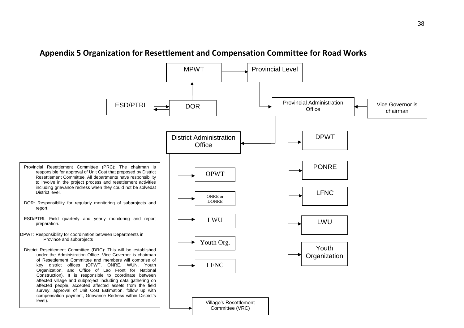

## **Appendix 5 Organization for Resettlement and Compensation Committee for Road Works**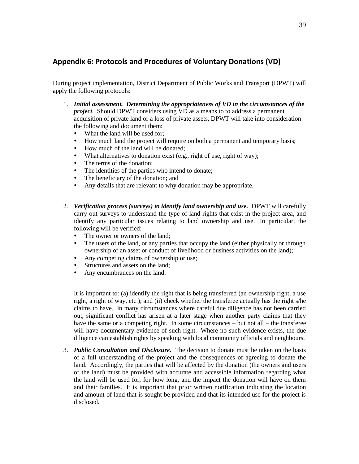## **Appendix 6: Protocols and Procedures of Voluntary Donations (VD)**

During project implementation, District Department of Public Works and Transport (DPWT) will apply the following protocols:

- 1. *Initial assessment. Determining the appropriateness of VD in the circumstances of the project.* Should DPWT considers using VD as a means to to address a permanent acquisition of private land or a loss of private assets, DPWT will take into consideration the following and document them:
	- What the land will be used for;
	- How much land the project will require on both a permanent and temporary basis;
	- How much of the land will be donated;
	- What alternatives to donation exist (e.g., right of use, right of way);
	- The terms of the donation:
	- The identities of the parties who intend to donate;
	- The beneficiary of the donation; and
	- Any details that are relevant to why donation may be appropriate.
- 2. *Verification process (surveys) to identify land ownership and use.* DPWT will carefully carry out surveys to understand the type of land rights that exist in the project area, and identify any particular issues relating to land ownership and use. In particular, the following will be verified:
	- The owner or owners of the land;
	- The users of the land, or any parties that occupy the land (either physically or through ownership of an asset or conduct of livelihood or business activities on the land);
	- Any competing claims of ownership or use;
	- Structures and assets on the land;
	- Any encumbrances on the land.

It is important to: (a) identify the right that is being transferred (an ownership right, a use right, a right of way, etc.); and (ii) check whether the transferee actually has the right s/he claims to have. In many circumstances where careful due diligence has not been carried out, significant conflict has arisen at a later stage when another party claims that they have the same or a competing right. In some circumstances – but not all – the transferee will have documentary evidence of such right. Where no such evidence exists, the due diligence can establish rights by speaking with local community officials and neighbours.

3. *Public Consultation and Disclosure.* The decision to donate must be taken on the basis of a full understanding of the project and the consequences of agreeing to donate the land. Accordingly, the parties that will be affected by the donation (the owners and users of the land) must be provided with accurate and accessible information regarding what the land will be used for, for how long, and the impact the donation will have on them and their families. It is important that prior written notification indicating the location and amount of land that is sought be provided and that its intended use for the project is disclosed.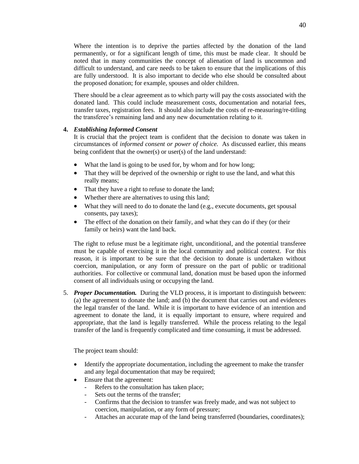Where the intention is to deprive the parties affected by the donation of the land permanently, or for a significant length of time, this must be made clear. It should be noted that in many communities the concept of alienation of land is uncommon and difficult to understand, and care needs to be taken to ensure that the implications of this are fully understood. It is also important to decide who else should be consulted about the proposed donation; for example, spouses and older children.

There should be a clear agreement as to which party will pay the costs associated with the donated land. This could include measurement costs, documentation and notarial fees, transfer taxes, registration fees. It should also include the costs of re-measuring/re-titling the transferee's remaining land and any new documentation relating to it.

### **4.** *Establishing Informed Consent*

It is crucial that the project team is confident that the decision to donate was taken in circumstances of *informed consent or power of choice.* As discussed earlier, this means being confident that the owner(s) or user(s) of the land understand:

- What the land is going to be used for, by whom and for how long;
- That they will be deprived of the ownership or right to use the land, and what this really means;
- That they have a right to refuse to donate the land;
- Whether there are alternatives to using this land;
- What they will need to do to donate the land (e.g., execute documents, get spousal consents, pay taxes);
- The effect of the donation on their family, and what they can do if they (or their family or heirs) want the land back.

The right to refuse must be a legitimate right, unconditional, and the potential transferee must be capable of exercising it in the local community and political context. For this reason, it is important to be sure that the decision to donate is undertaken without coercion, manipulation, or any form of pressure on the part of public or traditional authorities. For collective or communal land, donation must be based upon the informed consent of all individuals using or occupying the land.

5. *Proper Documentation.* During the VLD process, it is important to distinguish between: (a) the agreement to donate the land; and (b) the document that carries out and evidences the legal transfer of the land. While it is important to have evidence of an intention and agreement to donate the land, it is equally important to ensure, where required and appropriate, that the land is legally transferred. While the process relating to the legal transfer of the land is frequently complicated and time consuming, it must be addressed.

The project team should:

- Identify the appropriate documentation, including the agreement to make the transfer and any legal documentation that may be required;
- Ensure that the agreement:
	- Refers to the consultation has taken place;
	- Sets out the terms of the transfer:
	- Confirms that the decision to transfer was freely made, and was not subject to coercion, manipulation, or any form of pressure;
	- Attaches an accurate map of the land being transferred (boundaries, coordinates);